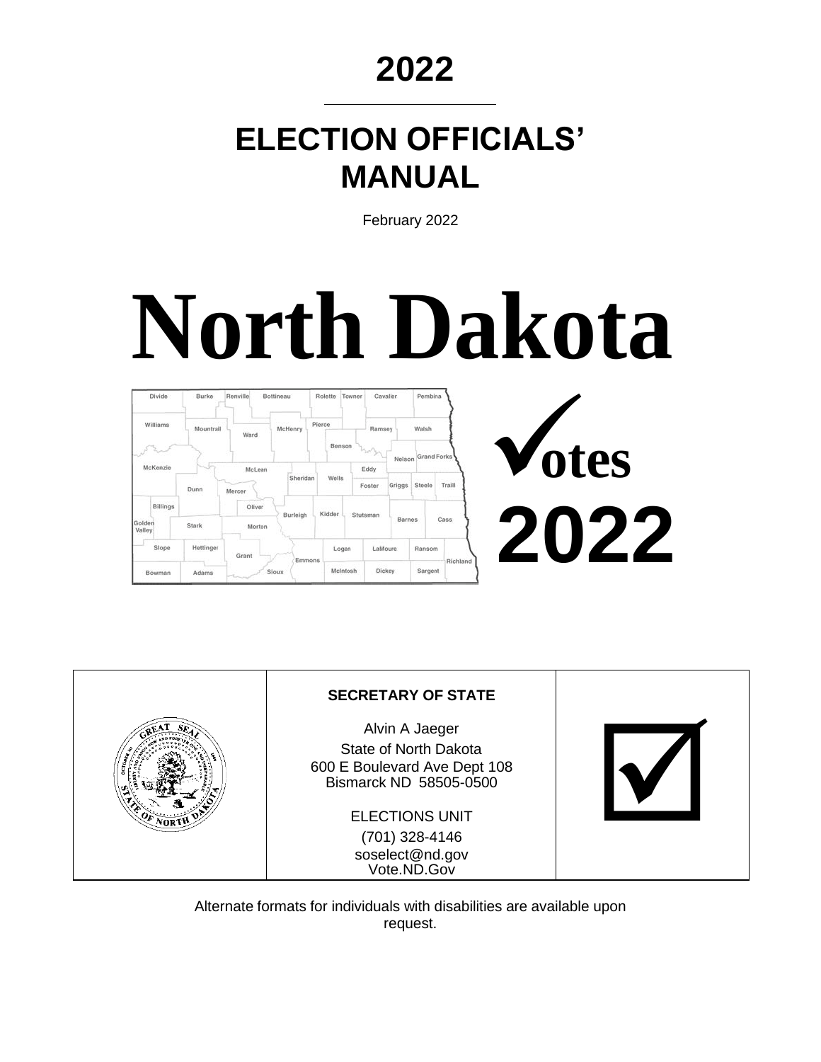## **2022**

# **ELECTION OFFICIALS' MANUAL**

February 2022

# **North Dakota**



|      | <b>SECRETARY OF STATE</b>                                                                         |  |
|------|---------------------------------------------------------------------------------------------------|--|
|      | Alvin A Jaeger<br>State of North Dakota<br>600 E Boulevard Ave Dept 108<br>Bismarck ND 58505-0500 |  |
| Nort | <b>ELECTIONS UNIT</b>                                                                             |  |
|      | (701) 328-4146<br>soselect@nd.gov<br>Vote.ND.Gov                                                  |  |

Alternate formats for individuals with disabilities are available upon request.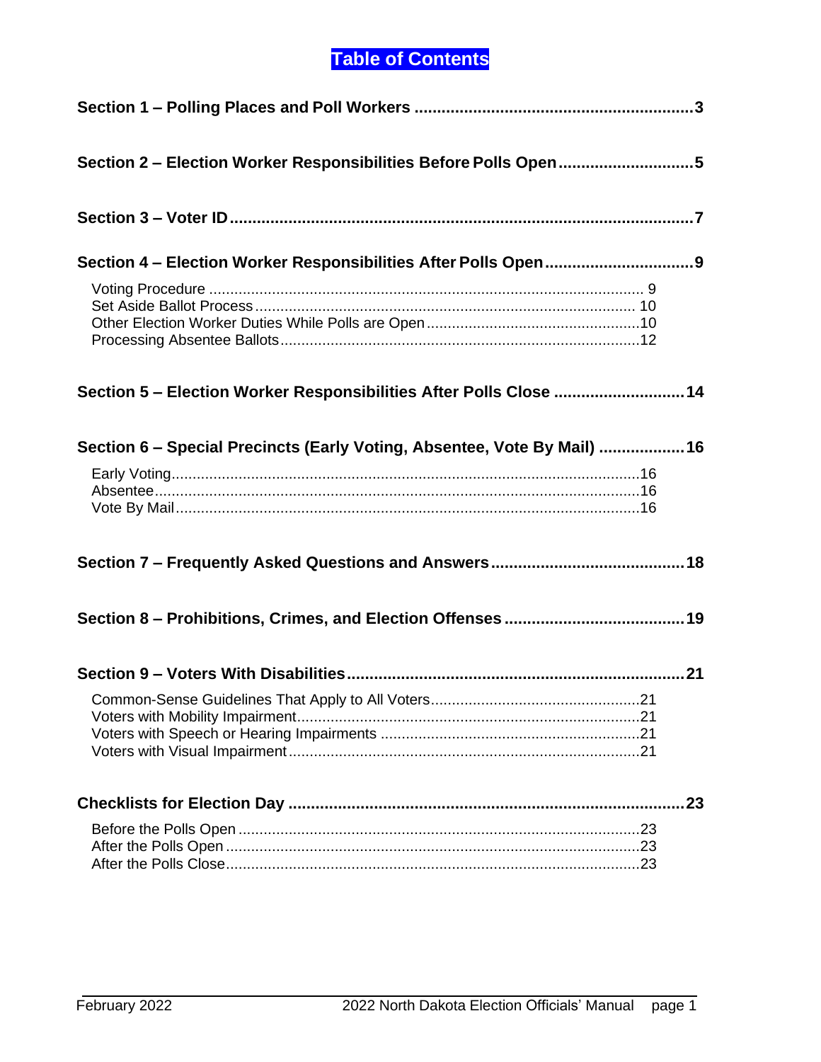## **Table of Contents**

| Section 2 - Election Worker Responsibilities Before Polls Open5          |     |
|--------------------------------------------------------------------------|-----|
|                                                                          |     |
|                                                                          |     |
|                                                                          |     |
| Section 5 - Election Worker Responsibilities After Polls Close  14       |     |
| Section 6 - Special Precincts (Early Voting, Absentee, Vote By Mail)  16 |     |
|                                                                          |     |
|                                                                          |     |
|                                                                          |     |
|                                                                          |     |
|                                                                          |     |
|                                                                          | .23 |
|                                                                          |     |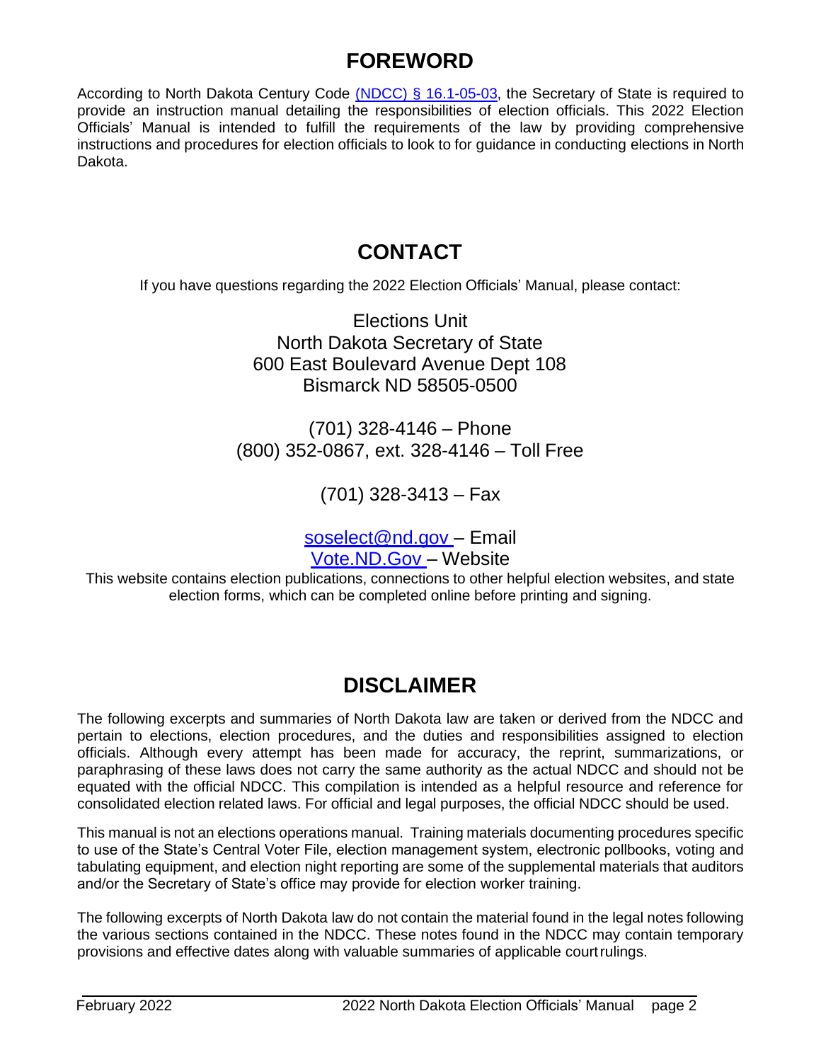## **FOREWORD**

According to North Dakota Century Code [\(NDCC\) § 16.1-05-03,](http://www.legis.nd.gov/cencode/t16-1c05.pdf#nameddest%3D16p1-05-03) the Secretary of State is required to provide an instruction manual detailing the responsibilities of election officials. This 2022 Election Officials' Manual is intended to fulfill the requirements of the law by providing comprehensive instructions and procedures for election officials to look to for guidance in conducting elections in North Dakota.

## **CONTACT**

If you have questions regarding the 2022 Election Officials' Manual, please contact:

Elections Unit North Dakota Secretary of State 600 East Boulevard Avenue Dept 108 Bismarck ND 58505-0500

(701) 328-4146 – Phone (800) 352-0867, ext. 328-4146 – Toll Free

(701) 328-3413 – Fax

soselect@nd.gov - Email [Vote.ND.Gov –](https://vip.sos.nd.gov/PortalList.aspx) Website

This website contains election publications, connections to other helpful election websites, and state election forms, which can be completed online before printing and signing.

## **DISCLAIMER**

The following excerpts and summaries of North Dakota law are taken or derived from the NDCC and pertain to elections, election procedures, and the duties and responsibilities assigned to election officials. Although every attempt has been made for accuracy, the reprint, summarizations, or paraphrasing of these laws does not carry the same authority as the actual NDCC and should not be equated with the official NDCC. This compilation is intended as a helpful resource and reference for consolidated election related laws. For official and legal purposes, the official NDCC should be used.

This manual is not an elections operations manual. Training materials documenting procedures specific to use of the State's Central Voter File, election management system, electronic pollbooks, voting and tabulating equipment, and election night reporting are some of the supplemental materials that auditors and/or the Secretary of State's office may provide for election worker training.

The following excerpts of North Dakota law do not contain the material found in the legal notes following the various sections contained in the NDCC. These notes found in the NDCC may contain temporary provisions and effective dates along with valuable summaries of applicable courtrulings.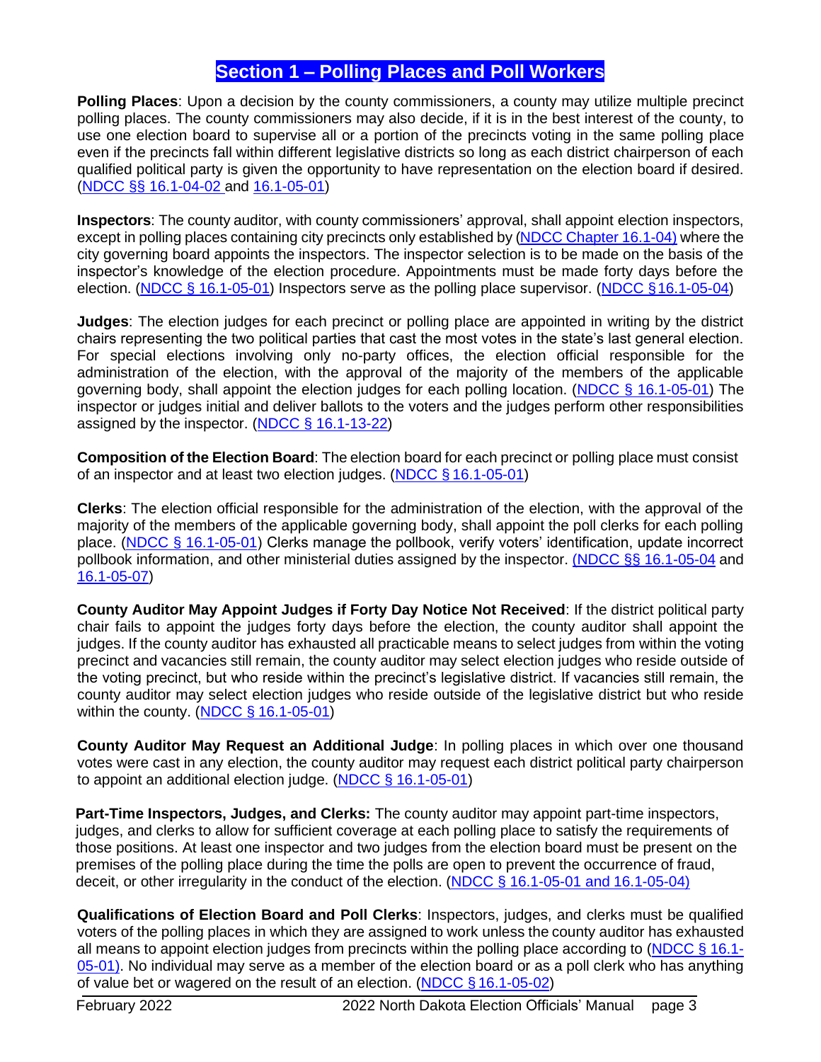## **Section 1 – Polling Places and Poll Workers**

<span id="page-3-0"></span>**Polling Places**: Upon a decision by the county commissioners, a county may utilize multiple precinct polling places. The county commissioners may also decide, if it is in the best interest of the county, to use one election board to supervise all or a portion of the precincts voting in the same polling place even if the precincts fall within different legislative districts so long as each district chairperson of each qualified political party is given the opportunity to have representation on the election board if desired. (NDCC §§ [16.1-04-02](https://www.legis.nd.gov/cencode/t16-1c04.pdf#nameddest%3D16p1-04-02) and [16.1-05-01\)](https://www.legis.nd.gov/cencode/t16-1c05.pdf#nameddest%3D16p1-05-01)

**Inspectors**: The county auditor, with county commissioners' approval, shall appoint election inspectors, except in polling places containing city precincts only established by (NDCC Chapter [16.1-04\)](http://www.legis.nd.gov/cencode/t16-1c04.pdf?20130923110637) where the city governing board appoints the inspectors. The inspector selection is to be made on the basis of the inspector's knowledge of the election procedure. Appointments must be made forty days before the election. (NDCC § [16.1-05-01\)](https://www.legis.nd.gov/cencode/t16-1c05.pdf#nameddest%3D16p1-05-01) Inspectors serve as the polling place supervisor. [\(NDCC §16.1-05-04\)](https://www.legis.nd.gov/cencode/t16-1c05.pdf#nameddest%3D16p1-05-04)

**Judges**: The election judges for each precinct or polling place are appointed in writing by the district chairs representing the two political parties that cast the most votes in the state's last general election. For special elections involving only no-party offices, the election official responsible for the administration of the election, with the approval of the majority of the members of the applicable governing body, shall appoint the election judges for each polling location. [\(NDCC § 16.1-05-01\)](https://www.legis.nd.gov/cencode/t16-1c05.pdf#nameddest%3D16p1-05-01) The inspector or judges initial and deliver ballots to the voters and the judges perform other responsibilities assigned by the inspector. (NDCC § [16.1-13-22\)](https://www.legis.nd.gov/cencode/t16-1c13.pdf#nameddest%3D16p1-13-22)

**Composition of the Election Board**: The election board for each precinct or polling place must consist of an inspector and at least two election judges. (NDCC § [16.1-05-01\)](https://www.legis.nd.gov/cencode/t16-1c05.pdf#nameddest%3D16p1-05-01)

**Clerks**: The election official responsible for the administration of the election, with the approval of the majority of the members of the applicable governing body, shall appoint the poll clerks for each polling place. [\(NDCC § 16.1-05-01\)](https://www.legis.nd.gov/cencode/t16-1c05.pdf#nameddest%3D16p1-05-01) Clerks manage the pollbook, verify voters' identification, update incorrect pollbook information, and other ministerial duties assigned by the inspector. (NDCC §§ [16.1-05-04](https://www.legis.nd.gov/cencode/t16-1c05.pdf#nameddest%3D16p1-05-04) and [16.1-05-07\)](https://www.legis.nd.gov/cencode/t16-1c05.pdf#nameddest%3D16p1-05-07)

**County Auditor May Appoint Judges if Forty Day Notice Not Received**: If the district political party chair fails to appoint the judges forty days before the election, the county auditor shall appoint the judges. If the county auditor has exhausted all practicable means to select judges from within the voting precinct and vacancies still remain, the county auditor may select election judges who reside outside of the voting precinct, but who reside within the precinct's legislative district. If vacancies still remain, the county auditor may select election judges who reside outside of the legislative district but who reside within the county. (NDCC § [16.1-05-01\)](https://www.legis.nd.gov/cencode/t16-1c05.pdf#nameddest%3D16p1-05-01)

**County Auditor May Request an Additional Judge**: In polling places in which over one thousand votes were cast in any election, the county auditor may request each district political party chairperson to appoint an additional election judge. (NDCC § [16.1-05-01\)](https://www.legis.nd.gov/cencode/t16-1c05.pdf#nameddest%3D16p1-05-01)

**Part-Time Inspectors, Judges, and Clerks:** The county auditor may appoint part-time inspectors, judges, and clerks to allow for sufficient coverage at each polling place to satisfy the requirements of those positions. At least one inspector and two judges from the election board must be present on the premises of the polling place during the time the polls are open to prevent the occurrence of fraud, deceit, or other irregularity in the conduct of the election. (NDCC § [16.1-05-01](https://www.legis.nd.gov/cencode/t16-1c05.pdf#nameddest%3D16p1-05-01) and [16.1-05-04\)](https://www.legis.nd.gov/cencode/t16-1c05.pdf#nameddest%3D16p1-05-04)

**Qualifications of Election Board and Poll Clerks**: Inspectors, judges, and clerks must be qualified voters of the polling places in which they are assigned to work unless the county auditor has exhausted all means to appoint election judges from precincts within the polling place according to [\(NDCC § 16.1-](https://www.legis.nd.gov/cencode/t16-1c05.pdf#nameddest%3D16p1-05-01) [05-01\). N](http://www.legis.nd.gov/cencode/t16-1c05.pdf#nameddest%3D16p1-05-01)o individual may serve as a member of the election board or as a poll clerk who has anything of value bet or wagered on the result of an election. (NDCC § [16.1-05-02\)](https://www.legis.nd.gov/cencode/t16-1c05.pdf#nameddest%3D16p1-05-02)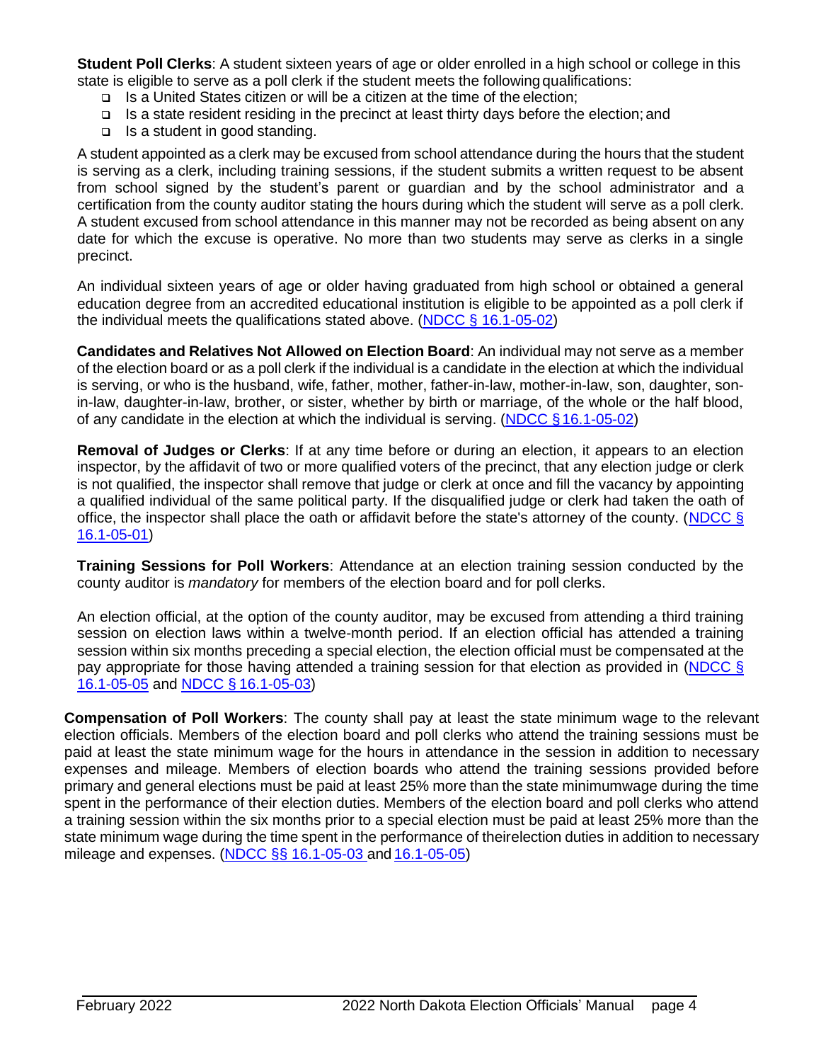**Student Poll Clerks**: A student sixteen years of age or older enrolled in a high school or college in this state is eligible to serve as a poll clerk if the student meets the followingqualifications:

- ❑ Is a United States citizen or will be a citizen at the time of the election;
- ❑ Is a state resident residing in the precinct at least thirty days before the election; and
- ❑ Is a student in good standing.

A student appointed as a clerk may be excused from school attendance during the hours that the student is serving as a clerk, including training sessions, if the student submits a written request to be absent from school signed by the student's parent or guardian and by the school administrator and a certification from the county auditor stating the hours during which the student will serve as a poll clerk. A student excused from school attendance in this manner may not be recorded as being absent on any date for which the excuse is operative. No more than two students may serve as clerks in a single precinct.

An individual sixteen years of age or older having graduated from high school or obtained a general education degree from an accredited educational institution is eligible to be appointed as a poll clerk if the individual meets the qualifications stated above. (NDCC § [16.1-05-02\)](https://www.legis.nd.gov/cencode/t16-1c05.pdf#nameddest%3D16p1-05-02)

**Candidates and Relatives Not Allowed on Election Board**: An individual may not serve as a member of the election board or as a poll clerk if the individual is a candidate in the election at which the individual is serving, or who is the husband, wife, father, mother, father-in-law, mother-in-law, son, daughter, sonin-law, daughter-in-law, brother, or sister, whether by birth or marriage, of the whole or the half blood, of any candidate in the election at which the individual is serving. (NDCC [§16.1-05-02\)](https://www.legis.nd.gov/cencode/t16-1c05.pdf#nameddest%3D16p1-05-02)

**Removal of Judges or Clerks**: If at any time before or during an election, it appears to an election inspector, by the affidavit of two or more qualified voters of the precinct, that any election judge or clerk is not qualified, the inspector shall remove that judge or clerk at once and fill the vacancy by appointing a qualified individual of the same political party. If the disqualified judge or clerk had taken the oath of office, the inspector shall place the oath or affidavit before the state's attorney of the county. [\(NDCC §](https://www.legis.nd.gov/cencode/t16-1c05.pdf#nameddest%3D16p1-05-01) [16.1-05-01\)](http://www.legis.nd.gov/cencode/t16-1c05.pdf#nameddest%3D16p1-05-01)

**Training Sessions for Poll Workers**: Attendance at an election training session conducted by the county auditor is *mandatory* for members of the election board and for poll clerks.

An election official, at the option of the county auditor, may be excused from attending a third training session on election laws within a twelve-month period. If an election official has attended a training session within six months preceding a special election, the election official must be compensated at the pay appropriate for those having attended a training session for that election as provided in [\(NDCC §](http://www.legis.nd.gov/cencode/t16-1c05.pdf#nameddest%3D16p1-05-05) [16.1-05-05](https://www.legis.nd.gov/cencode/t16-1c05.pdf#nameddest%3D16p1-05-05) and NDCC § [16.1-05-03\)](https://www.legis.nd.gov/cencode/t16-1c05.pdf#nameddest%3D16p1-05-03)

**Compensation of Poll Workers**: The county shall pay at least the state minimum wage to the relevant election officials. Members of the election board and poll clerks who attend the training sessions must be paid at least the state minimum wage for the hours in attendance in the session in addition to necessary expenses and mileage. Members of election boards who attend the training sessions provided before primary and general elections must be paid at least 25% more than the state minimumwage during the time spent in the performance of their election duties. Members of the election board and poll clerks who attend a training session within the six months prior to a special election must be paid at least 25% more than the state minimum wage during the time spent in the performance of theirelection duties in addition to necessary mileage and expenses. (NDCC §§ [16.1-05-03 a](https://www.legis.nd.gov/cencode/t16-1c05.pdf#nameddest%3D16p1-05-03)nd [16.1-05-05\)](https://www.legis.nd.gov/cencode/t16-1c05.pdf#nameddest%3D16p1-05-05)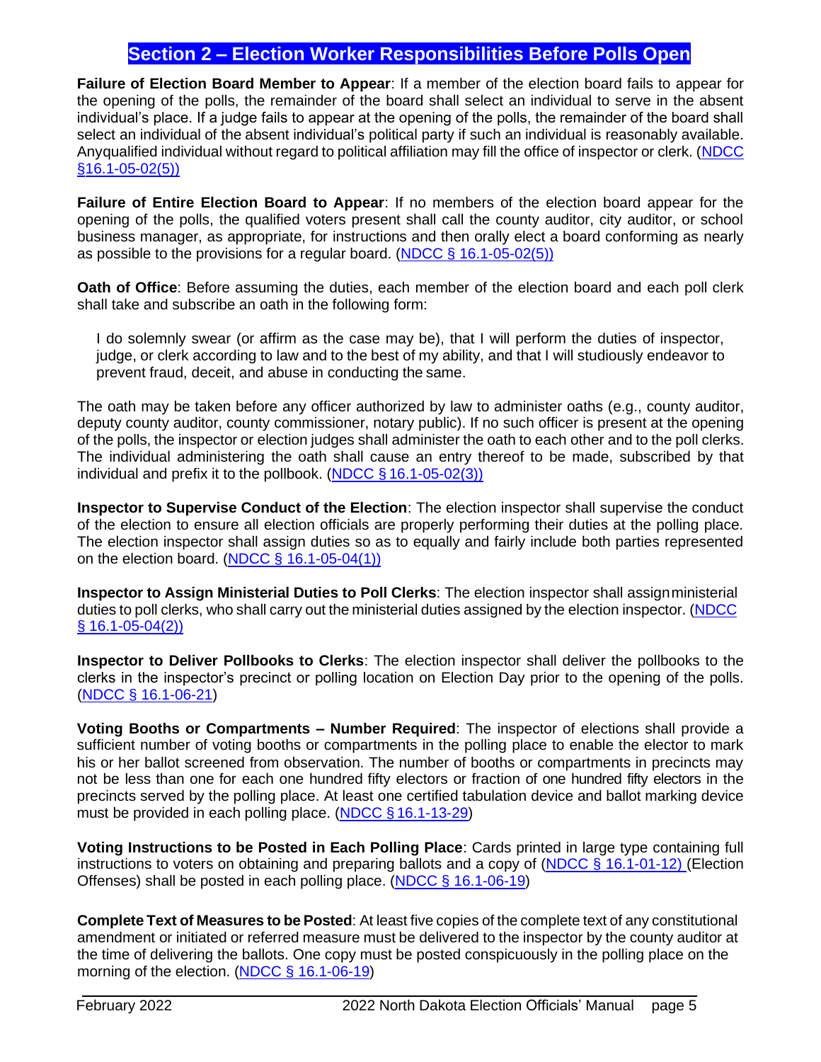## **Section 2 – Election Worker Responsibilities Before Polls Open**

<span id="page-5-0"></span>**Failure of Election Board Member to Appear**: If a member of the election board fails to appear for the opening of the polls, the remainder of the board shall select an individual to serve in the absent individual's place. If a judge fails to appear at the opening of the polls, the remainder of the board shall select an individual of the absent individual's political party if such an individual is reasonably available. Anyqualified individual without regard to political affiliation may fill the office of inspector or clerk. [\(NDCC](https://www.legis.nd.gov/cencode/t16-1c05.pdf#nameddest%3D16p1-05-02)  [§](https://www.legis.nd.gov/cencode/t16-1c05.pdf#nameddest%3D16p1-05-02)[16.1-05-02\(5\)\)](http://www.legis.nd.gov/cencode/t16-1c05.pdf#nameddest%3D16p1-05-02)

**Failure of Entire Election Board to Appear**: If no members of the election board appear for the opening of the polls, the qualified voters present shall call the county auditor, city auditor, or school business manager, as appropriate, for instructions and then orally elect a board conforming as nearly as possible to the provisions for a regular board. (NDCC [§ 16.1-05-02\(5\)\)](https://www.legis.nd.gov/cencode/t16-1c05.pdf#nameddest%3D16p1-05-02)

**Oath of Office**: Before assuming the duties, each member of the election board and each poll clerk shall take and subscribe an oath in the following form:

I do solemnly swear (or affirm as the case may be), that I will perform the duties of inspector, judge, or clerk according to law and to the best of my ability, and that I will studiously endeavor to prevent fraud, deceit, and abuse in conducting the same.

The oath may be taken before any officer authorized by law to administer oaths (e.g., county auditor, deputy county auditor, county commissioner, notary public). If no such officer is present at the opening of the polls, the inspector or election judges shall administer the oath to each other and to the poll clerks. The individual administering the oath shall cause an entry thereof to be made, subscribed by that individual and prefix it to the pollbook. (NDCC  $\S$  [16.1-05-02\(3\)\)](https://www.legis.nd.gov/cencode/t16-1c05.pdf#nameddest%3D16p1-05-02)

**Inspector to Supervise Conduct of the Election**: The election inspector shall supervise the conduct of the election to ensure all election officials are properly performing their duties at the polling place. The election inspector shall assign duties so as to equally and fairly include both parties represented on the election board. (NDCC  $\S$  [16.1-05-04\(1\)\)](https://www.legis.nd.gov/cencode/t16-1c05.pdf#nameddest%3D16p1-05-04)

**Inspector to Assign Ministerial Duties to Poll Clerks**: The election inspector shall assignministerial duties to poll clerks, who shall carry out the ministerial duties assigned by the election inspector. [\(NDCC](http://www.legis.nd.gov/cencode/t16-1c05.pdf#nameddest%3D16p1-05-04) § [16.1-05-04\(2\)\)](https://www.legis.nd.gov/cencode/t16-1c05.pdf#nameddest%3D16p1-05-04)

**Inspector to Deliver Pollbooks to Clerks**: The election inspector shall deliver the pollbooks to the clerks in the inspector's precinct or polling location on Election Day prior to the opening of the polls. (NDCC [§ 16.1-06-21\)](https://www.legis.nd.gov/cencode/t16-1c06.pdf#nameddest%3D16p1-06-21)

**Voting Booths or Compartments – Number Required**: The inspector of elections shall provide a sufficient number of voting booths or compartments in the polling place to enable the elector to mark his or her ballot screened from observation. The number of booths or compartments in precincts may not be less than one for each one hundred fifty electors or fraction of one hundred fifty electors in the precincts served by the polling place. At least one certified tabulation device and ballot marking device must be provided in each polling place. (NDCC § [16.1-13-29\)](https://www.legis.nd.gov/cencode/t16-1c13.pdf#nameddest%3D16p1-13-29)

**Voting Instructions to be Posted in Each Polling Place**: Cards printed in large type containing full instructions to voters on obtaining and preparing ballots and a copy of [\(NDCC § 16.1-01-12\)](https://www.legis.nd.gov/cencode/t16-1c01.pdf#nameddest%3D16p1-01-12) (Election Offenses) shall be posted in each polling place. (NDCC § [16.1-06-19\)](https://www.legis.nd.gov/cencode/t16-1c06.pdf#nameddest%3D16p1-06-19)

**Complete Text of Measures to be Posted**: At least five copies of the complete text of any constitutional amendment or initiated or referred measure must be delivered to the inspector by the county auditor at the time of delivering the ballots. One copy must be posted conspicuously in the polling place on the morning of the election. (NDCC § [16.1-06-19\)](https://www.legis.nd.gov/cencode/t16-1c06.pdf#nameddest%3D16p1-06-19)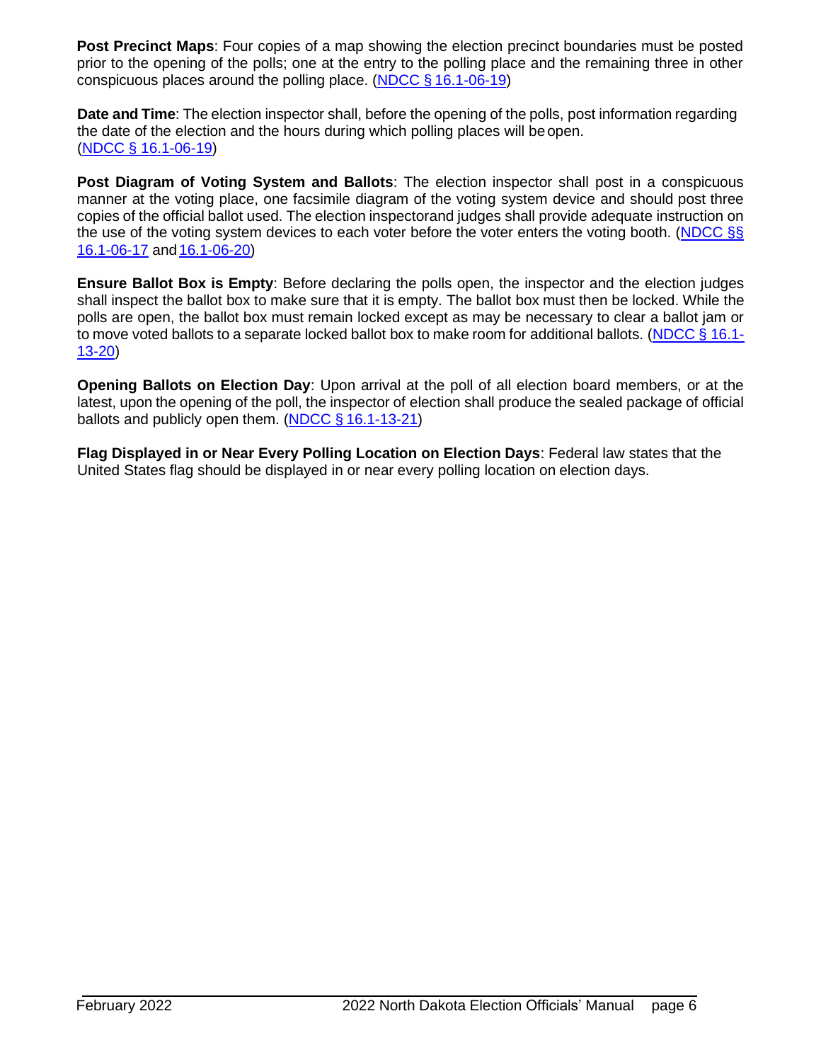**Post Precinct Maps**: Four copies of a map showing the election precinct boundaries must be posted prior to the opening of the polls; one at the entry to the polling place and the remaining three in other conspicuous places around the polling place. (NDCC § [16.1-06-19\)](https://www.legis.nd.gov/cencode/t16-1c06.pdf#nameddest%3D16p1-06-19)

**Date and Time**: The election inspector shall, before the opening of the polls, post information regarding the date of the election and the hours during which polling places will be open. (NDCC § [16.1-06-19\)](https://www.legis.nd.gov/cencode/t16-1c06.pdf#nameddest%3D16p1-06-19)

**Post Diagram of Voting System and Ballots**: The election inspector shall post in a conspicuous manner at the voting place, one facsimile diagram of the voting system device and should post three copies of the official ballot used. The election inspectorand judges shall provide adequate instruction on the use of the voting system devices to each voter before the voter enters the voting booth. [\(NDCC §§](https://www.legis.nd.gov/cencode/t16-1c06.pdf#nameddest%3D16p1-06-17) [16.1-06-17](https://www.legis.nd.gov/cencode/t16-1c06.pdf#nameddest%3D16p1-06-17) and [16.1-06-20\)](https://www.legis.nd.gov/cencode/t16-1c06.pdf#nameddest%3D16p1-06-20)

**Ensure Ballot Box is Empty**: Before declaring the polls open, the inspector and the election judges shall inspect the ballot box to make sure that it is empty. The ballot box must then be locked. While the polls are open, the ballot box must remain locked except as may be necessary to clear a ballot jam or to move voted ballots to a separate locked ballot box to make room for additional ballots. [\(NDCC](https://www.legis.nd.gov/cencode/t16-1c13.pdf#nameddest%3D16p1-13-20) § 16.1-[13-20\)](http://www.legis.nd.gov/cencode/t16-1c13.pdf#nameddest%3D16p1-13-20)

**Opening Ballots on Election Day**: Upon arrival at the poll of all election board members, or at the latest, upon the opening of the poll, the inspector of election shall produce the sealed package of official ballots and publicly open them. (NDCC § [16.1-13-21\)](https://www.legis.nd.gov/cencode/t16-1c13.pdf#nameddest%3D16p1-13-21)

**Flag Displayed in or Near Every Polling Location on Election Days**: Federal law states that the United States flag should be displayed in or near every polling location on election days.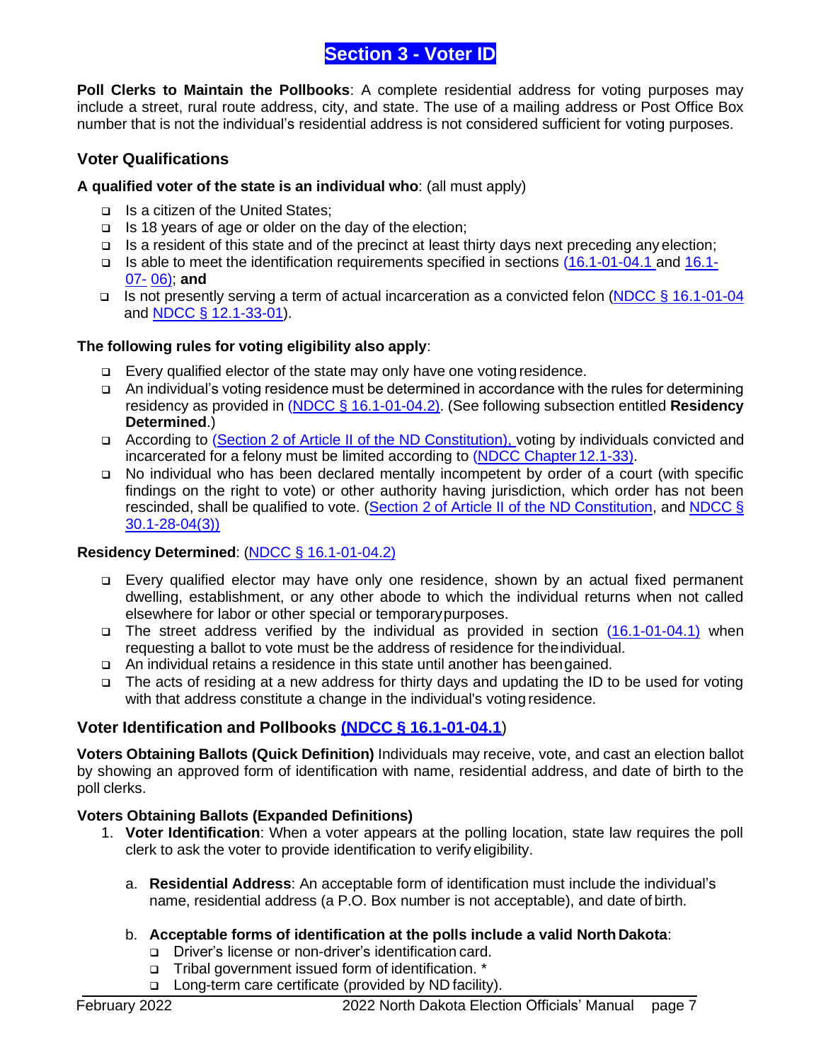## **Section 3 - Voter ID**

<span id="page-7-0"></span>**Poll Clerks to Maintain the Pollbooks**: A complete residential address for voting purposes may include a street, rural route address, city, and state. The use of a mailing address or Post Office Box number that is not the individual's residential address is not considered sufficient for voting purposes.

## **Voter Qualifications**

#### **A qualified voter of the state is an individual who**: (all must apply)

- ❑ Is a citizen of the United States;
- ❑ Is 18 years of age or older on the day of the election;
- ❑ Is a resident of this state and of the precinct at least thirty days next preceding any election;
- ❑ Is able to meet the identification requirements specified in sections [\(16.1-01-04.1 a](https://www.legis.nd.gov/cencode/t16-1c01.pdf#nameddest%3D16p1-01-04p1)nd [16.1-](https://www.legis.nd.gov/cencode/t16-1c07.pdf#nameddest%3D16p1-07-06) [07-](https://www.legis.nd.gov/cencode/t16-1c07.pdf#nameddest%3D16p1-07-06) [06\)](http://www.legis.nd.gov/cencode/t16-1c07.pdf#nameddest%3D16p1-07-06); **and**
- ❑ Is not presently serving a term of actual incarceration as a convicted felon [\(NDCC § 16.1-01-04](https://www.legis.nd.gov/cencode/t16-1c01.pdf#nameddest%3D16p1-01-04) and [NDCC § 12.1-33-01\)](https://www.legis.nd.gov/cencode/t12-1c33.pdf#nameddest%3D12p1-33-01).

#### **The following rules for voting eligibility also apply**:

- ❑ Every qualified elector of the state may only have one voting residence.
- ❑ An individual's voting residence must be determined in accordance with the rules for determining residency as provided in [\(NDCC § 16.1-01-04.2\)](https://www.legis.nd.gov/cencode/t16-1c01.pdf#nameddest%3D16p1-01-04p2). (See following subsection entitled **Residency Determined**.)
- ❑ According to [\(Section 2 of Article II of the ND Constitution\), v](http://www.legis.nd.gov/constit/a02.pdf)oting by individuals convicted and incarcerated for a felony must be limited according to [\(NDCC Chapter12.1-33\).](http://www.legis.nd.gov/cencode/t12-1c33.pdf#nameddest%3D12p1-33-01)
- ❑ No individual who has been declared mentally incompetent by order of a court (with specific findings on the right to vote) or other authority having jurisdiction, which order has not been rescinded, shall be qualified to vote. (Section 2 of Article II of the ND [Constitution,](http://www.legis.nd.gov/constit/a02.pdf) and [NDCC](http://www.legis.nd.gov/cencode/t30-1c28.pdf#nameddest%3D30p1-28-04) § [30.1-28-04\(3\)\)](https://www.legis.nd.gov/cencode/t30-1c28.pdf#nameddest%3D30p1-28-04)

## **Residency Determined**: (NDCC § [16.1-01-04.2\)](https://www.legis.nd.gov/cencode/t16-1c01.pdf#nameddest%3D16p1-01-04p2)

- ❑ Every qualified elector may have only one residence, shown by an actual fixed permanent dwelling, establishment, or any other abode to which the individual returns when not called elsewhere for labor or other special or temporarypurposes.
- ❑ The street address verified by the individual as provided in section [\(16.1-01-04.1\)](https://www.legis.nd.gov/cencode/t16-1c01.pdf#nameddest%3D16p1-01-04p1) when requesting a ballot to vote must be the address of residence for theindividual.
- ❑ An individual retains a residence in this state until another has beengained.
- ❑ The acts of residing at a new address for thirty days and updating the ID to be used for voting with that address constitute a change in the individual's voting residence.

## **Voter Identification and Pollbooks (NDCC § [16.1-01-04.1](https://www.legis.nd.gov/cencode/t16-1c01.pdf#nameddest%3D16p1-01-04p1)**)

**Voters Obtaining Ballots (Quick Definition)** Individuals may receive, vote, and cast an election ballot by showing an approved form of identification with name, residential address, and date of birth to the poll clerks.

#### **Voters Obtaining Ballots (Expanded Definitions)**

- 1. **Voter Identification**: When a voter appears at the polling location, state law requires the poll clerk to ask the voter to provide identification to verify eligibility.
	- a. **Residential Address**: An acceptable form of identification must include the individual's name, residential address (a P.O. Box number is not acceptable), and date of birth.
	- b. **Acceptable forms of identification at the polls include a valid North Dakota**:
		- ❑ Driver's license or non-driver's identification card.
		- ❑ Tribal government issued form of identification. \*
		- ❑ Long-term care certificate (provided by ND facility).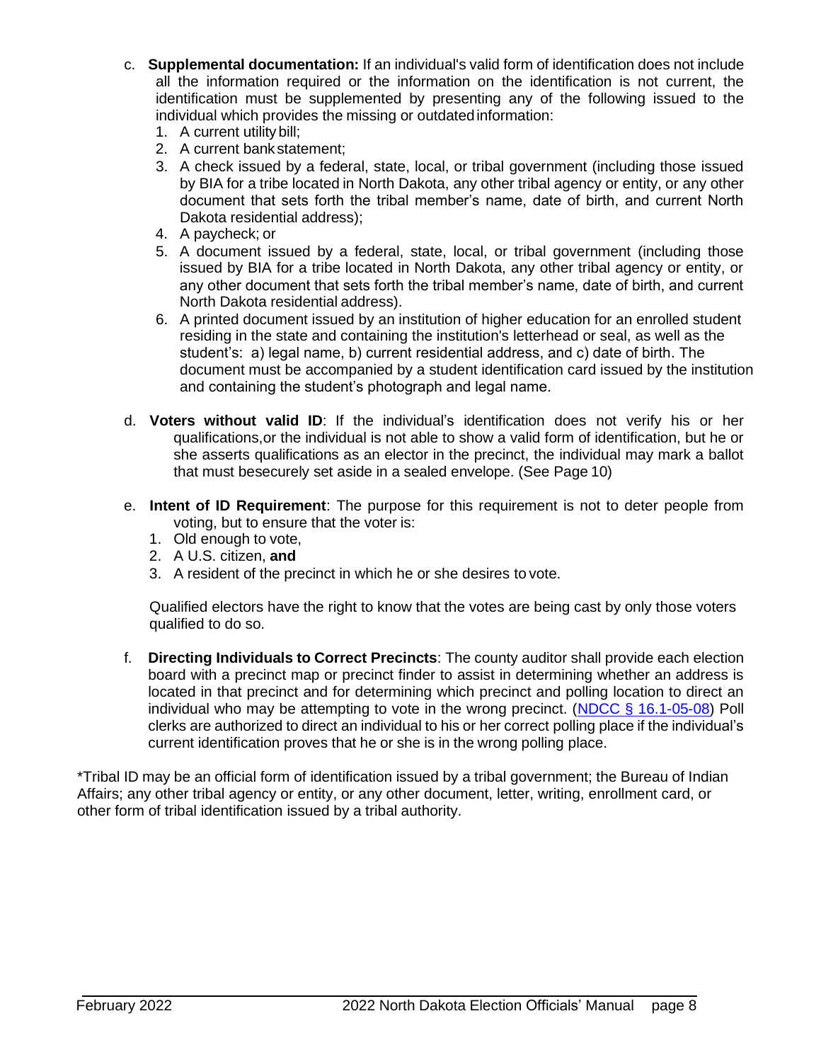- c. **Supplemental documentation:** If an individual's valid form of identification does not include all the information required or the information on the identification is not current, the identification must be supplemented by presenting any of the following issued to the individual which provides the missing or outdatedinformation:
	- 1. A current utilitybill;
	- 2. A current bank statement;
	- 3. A check issued by a federal, state, local, or tribal government (including those issued by BIA for a tribe located in North Dakota, any other tribal agency or entity, or any other document that sets forth the tribal member's name, date of birth, and current North Dakota residential address);
	- 4. A paycheck; or
	- 5. A document issued by a federal, state, local, or tribal government (including those issued by BIA for a tribe located in North Dakota, any other tribal agency or entity, or any other document that sets forth the tribal member's name, date of birth, and current North Dakota residential address).
	- 6. A printed document issued by an institution of higher education for an enrolled student residing in the state and containing the institution's letterhead or seal, as well as the student's: a) legal name, b) current residential address, and c) date of birth. The document must be accompanied by a student identification card issued by the institution and containing the student's photograph and legal name.
- d. **Voters without valid ID**: If the individual's identification does not verify his or her qualifications,or the individual is not able to show a valid form of identification, but he or she asserts qualifications as an elector in the precinct, the individual may mark a ballot that must besecurely set aside in a sealed envelope. (See Page 10)
- e. **Intent of ID Requirement**: The purpose for this requirement is not to deter people from voting, but to ensure that the voter is:
	- 1. Old enough to vote,
	- 2. A U.S. citizen, **and**
	- 3. A resident of the precinct in which he or she desires to vote.

Qualified electors have the right to know that the votes are being cast by only those voters qualified to do so.

f. **Directing Individuals to Correct Precincts**: The county auditor shall provide each election board with a precinct map or precinct finder to assist in determining whether an address is located in that precinct and for determining which precinct and polling location to direct an individual who may be attempting to vote in the wrong precinct. (NDCC  $\S$  [16.1-05-08\)](http://www.legis.nd.gov/cencode/t16-1c05.pdf#nameddest%3D16p1-05-08) Poll clerks are authorized to direct an individual to his or her correct polling place if the individual's current identification proves that he or she is in the wrong polling place.

\*Tribal ID may be an official form of identification issued by a tribal government; the Bureau of Indian Affairs; any other tribal agency or entity, or any other document, letter, writing, enrollment card, or other form of tribal identification issued by a tribal authority.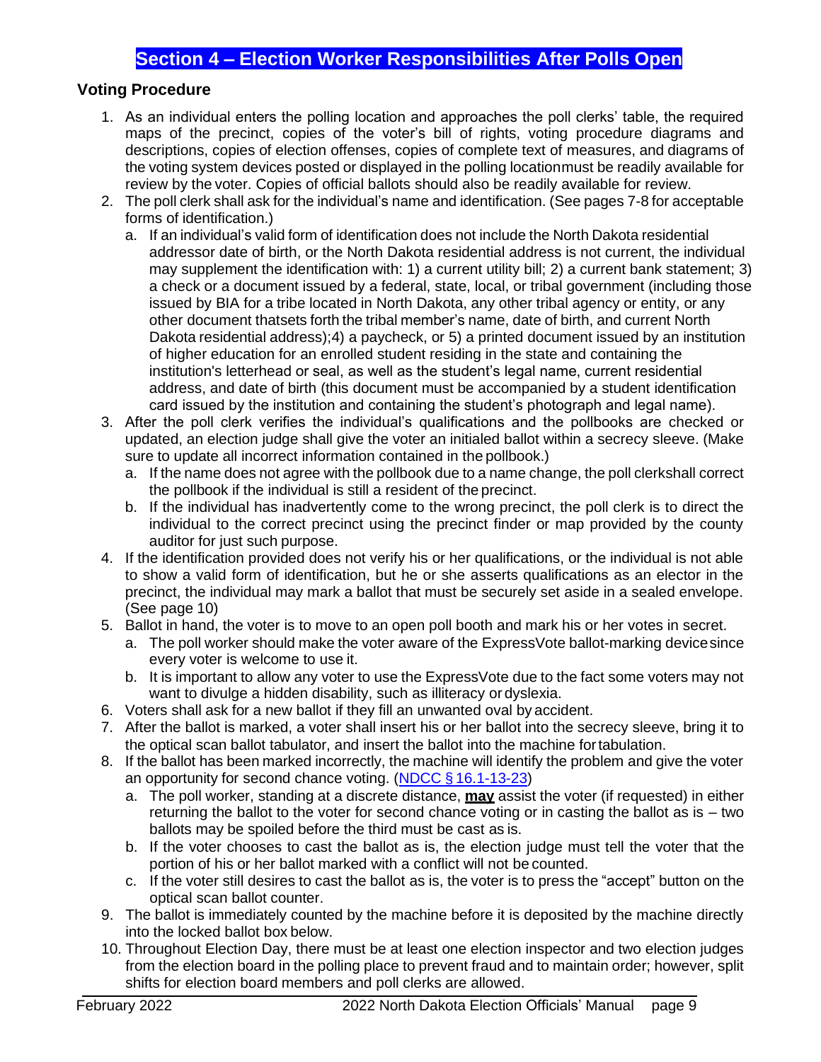## **Section 4 – Election Worker Responsibilities After Polls Open**

## <span id="page-9-1"></span><span id="page-9-0"></span>**Voting Procedure**

- 1. As an individual enters the polling location and approaches the poll clerks' table, the required maps of the precinct, copies of the voter's bill of rights, voting procedure diagrams and descriptions, copies of election offenses, copies of complete text of measures, and diagrams of the voting system devices posted or displayed in the polling location must be readily available for review by the voter. Copies of official ballots should also be readily available for review.
- 2. The poll clerk shall ask for the individual's name and identification. (See pages 7-8 for acceptable forms of identification.)
	- a. If an individual's valid form of identification does not include the North Dakota residential addressor date of birth, or the North Dakota residential address is not current, the individual may supplement the identification with: 1) a current utility bill; 2) a current bank statement; 3) a check or a document issued by a federal, state, local, or tribal government (including those issued by BIA for a tribe located in North Dakota, any other tribal agency or entity, or any other document thatsets forth the tribal member's name, date of birth, and current North Dakota residential address);4) a paycheck, or 5) a printed document issued by an institution of higher education for an enrolled student residing in the state and containing the institution's letterhead or seal, as well as the student's legal name, current residential address, and date of birth (this document must be accompanied by a student identification card issued by the institution and containing the student's photograph and legal name).
- 3. After the poll clerk verifies the individual's qualifications and the pollbooks are checked or updated, an election judge shall give the voter an initialed ballot within a secrecy sleeve. (Make sure to update all incorrect information contained in the pollbook.)
	- a. If the name does not agree with the pollbook due to a name change, the poll clerkshall correct the pollbook if the individual is still a resident of the precinct.
	- b. If the individual has inadvertently come to the wrong precinct, the poll clerk is to direct the individual to the correct precinct using the precinct finder or map provided by the county auditor for just such purpose.
- 4. If the identification provided does not verify his or her qualifications, or the individual is not able to show a valid form of identification, but he or she asserts qualifications as an elector in the precinct, the individual may mark a ballot that must be securely set aside in a sealed envelope. (See page 10)
- 5. Ballot in hand, the voter is to move to an open poll booth and mark his or her votes in secret.
	- a. The poll worker should make the voter aware of the ExpressVote ballot-marking devicesince every voter is welcome to use it.
	- b. It is important to allow any voter to use the ExpressVote due to the fact some voters may not want to divulge a hidden disability, such as illiteracy or dyslexia.
- 6. Voters shall ask for a new ballot if they fill an unwanted oval by accident.
- 7. After the ballot is marked, a voter shall insert his or her ballot into the secrecy sleeve, bring it to the optical scan ballot tabulator, and insert the ballot into the machine fortabulation.
- 8. If the ballot has been marked incorrectly, the machine will identify the problem and give the voter an opportunity for second chance voting. (NDCC § [16.1-13-23\)](https://www.legis.nd.gov/cencode/t16-1c13.pdf#nameddest%3D16p1-13-23)
	- a. The poll worker, standing at a discrete distance, **may** assist the voter (if requested) in either returning the ballot to the voter for second chance voting or in casting the ballot as is – two ballots may be spoiled before the third must be cast as is.
	- b. If the voter chooses to cast the ballot as is, the election judge must tell the voter that the portion of his or her ballot marked with a conflict will not be counted.
	- c. If the voter still desires to cast the ballot as is, the voter is to press the "accept" button on the optical scan ballot counter.
- 9. The ballot is immediately counted by the machine before it is deposited by the machine directly into the locked ballot box below.
- 10. Throughout Election Day, there must be at least one election inspector and two election judges from the election board in the polling place to prevent fraud and to maintain order; however, split shifts for election board members and poll clerks are allowed.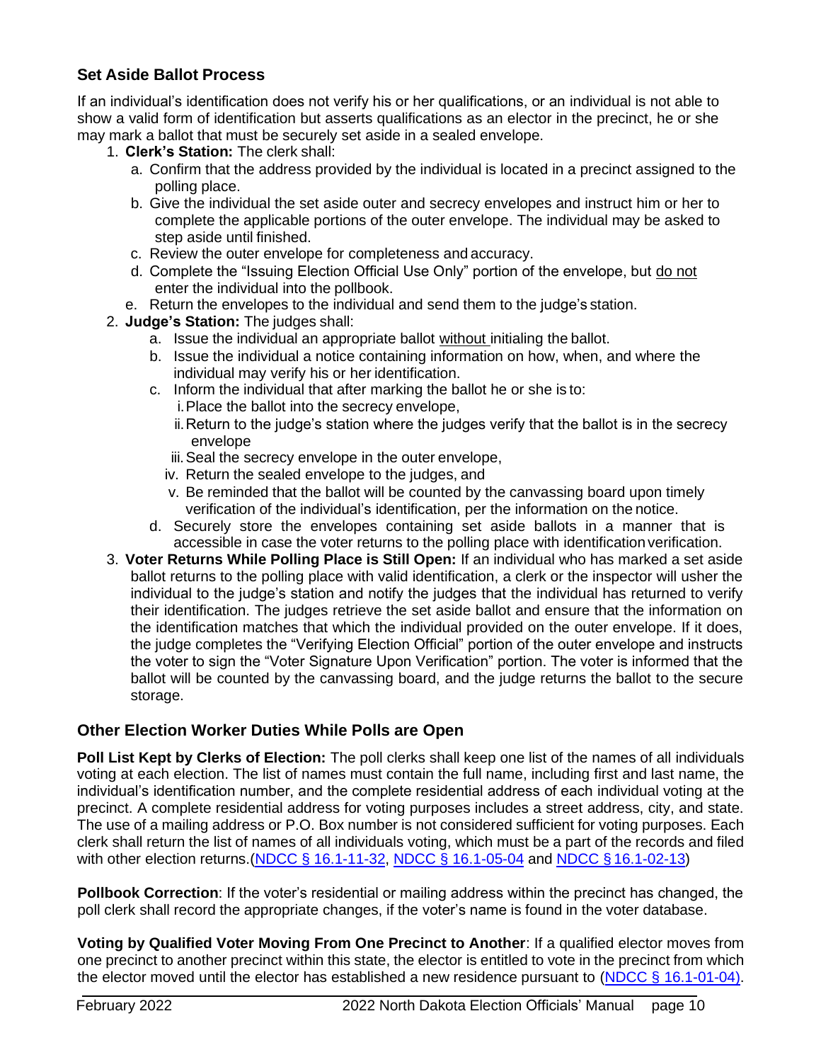## <span id="page-10-0"></span>**Set Aside Ballot Process**

If an individual's identification does not verify his or her qualifications, or an individual is not able to show a valid form of identification but asserts qualifications as an elector in the precinct, he or she may mark a ballot that must be securely set aside in a sealed envelope.

- 1. **Clerk's Station:** The clerk shall:
	- a. Confirm that the address provided by the individual is located in a precinct assigned to the polling place.
	- b. Give the individual the set aside outer and secrecy envelopes and instruct him or her to complete the applicable portions of the outer envelope. The individual may be asked to step aside until finished.
	- c. Review the outer envelope for completeness and accuracy.
	- d. Complete the "Issuing Election Official Use Only" portion of the envelope, but do not enter the individual into the pollbook.
	- e. Return the envelopes to the individual and send them to the judge's station.
- 2. **Judge's Station:** The judges shall:
	- a. Issue the individual an appropriate ballot without initialing the ballot.
	- b. Issue the individual a notice containing information on how, when, and where the individual may verify his or her identification.
	- c. Inform the individual that after marking the ballot he or she is to:
		- i.Place the ballot into the secrecy envelope,
		- ii.Return to the judge's station where the judges verify that the ballot is in the secrecy envelope
		- iii.Seal the secrecy envelope in the outer envelope,
		- iv. Return the sealed envelope to the judges, and
		- v. Be reminded that the ballot will be counted by the canvassing board upon timely verification of the individual's identification, per the information on the notice.
	- d. Securely store the envelopes containing set aside ballots in a manner that is accessible in case the voter returns to the polling place with identification verification.
- 3. **Voter Returns While Polling Place is Still Open:** If an individual who has marked a set aside ballot returns to the polling place with valid identification, a clerk or the inspector will usher the individual to the judge's station and notify the judges that the individual has returned to verify their identification. The judges retrieve the set aside ballot and ensure that the information on the identification matches that which the individual provided on the outer envelope. If it does, the judge completes the "Verifying Election Official" portion of the outer envelope and instructs the voter to sign the "Voter Signature Upon Verification" portion. The voter is informed that the ballot will be counted by the canvassing board, and the judge returns the ballot to the secure storage.

## **Other Election Worker Duties While Polls are Open**

**Poll List Kept by Clerks of Election:** The poll clerks shall keep one list of the names of all individuals voting at each election. The list of names must contain the full name, including first and last name, the individual's identification number, and the complete residential address of each individual voting at the precinct. A complete residential address for voting purposes includes a street address, city, and state. The use of a mailing address or P.O. Box number is not considered sufficient for voting purposes. Each clerk shall return the list of names of all individuals voting, which must be a part of the records and filed with other election returns. (NDCC [§ 16.1-11-32,](https://www.legis.nd.gov/cencode/t16-1c11.pdf#nameddest%3D16p1-11-32) [NDCC § 16.1-05-04](https://www.legis.nd.gov/cencode/t16-1c05.pdf#nameddest%3D16p1-05-04) and NDCC § [16.1-02-13\)](https://www.legis.nd.gov/cencode/t16-1c02.pdf#nameddest%3D16p1-02-13)

**Pollbook Correction**: If the voter's residential or mailing address within the precinct has changed, the poll clerk shall record the appropriate changes, if the voter's name is found in the voter database.

**Voting by Qualified Voter Moving From One Precinct to Another**: If a qualified elector moves from one precinct to another precinct within this state, the elector is entitled to vote in the precinct from which the elector moved until the elector has established a new residence pursuant to (NDCC § [16.1-01-04\)](https://www.legis.nd.gov/cencode/t16-1c01.pdf#nameddest%3D16p1-01-04).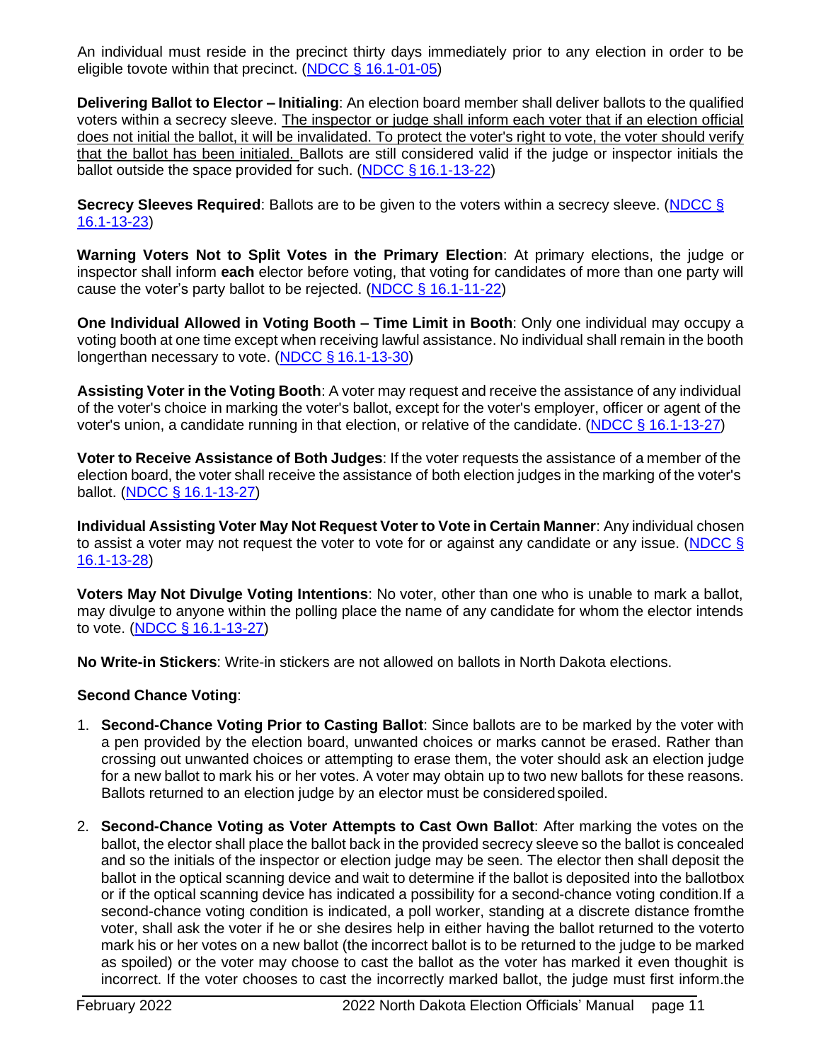An individual must reside in the precinct thirty days immediately prior to any election in order to be eligible tovote within that precinct. [\(NDCC § 16.1-01-05\)](https://www.legis.nd.gov/cencode/t16-1c01.pdf#nameddest%3D16p1-01-05)

**Delivering Ballot to Elector – Initialing**: An election board member shall deliver ballots to the qualified voters within a secrecy sleeve. The inspector or judge shall inform each voter that if an election official does not initial the ballot, it will be invalidated. To protect the voter's right to vote, the voter should verify that the ballot has been initialed. Ballots are still considered valid if the judge or inspector initials the ballot outside the space provided for such. (NDCC § [16.1-13-22\)](https://www.legis.nd.gov/cencode/t16-1c13.pdf#nameddest%3D16p1-13-22)

**Secrecy Sleeves Required**: Ballots are to be given to the voters within a secrecy sleeve. [\(NDCC §](http://www.legis.nd.gov/cencode/t16-1c13.pdf#nameddest%3D16p1-13-23) [16.1-13-23\)](https://www.legis.nd.gov/cencode/t16-1c13.pdf#nameddest%3D16p1-13-23)

**Warning Voters Not to Split Votes in the Primary Election**: At primary elections, the judge or inspector shall inform **each** elector before voting, that voting for candidates of more than one party will cause the voter's party ballot to be rejected. [\(NDCC § 16.1-11-22\)](https://www.legis.nd.gov/cencode/t16-1c11.pdf#nameddest%3D16p1-11-22)

**One Individual Allowed in Voting Booth – Time Limit in Booth**: Only one individual may occupy a voting booth at one time except when receiving lawful assistance. No individual shall remain in the booth longerthan necessary to vote. (NDCC § [16.1-13-30\)](https://www.legis.nd.gov/cencode/t16-1c13.pdf#nameddest%3D16p1-13-30)

**Assisting Voter in the Voting Booth**: A voter may request and receive the assistance of any individual of the voter's choice in marking the voter's ballot, except for the voter's employer, officer or agent of the voter's union, a candidate running in that election, or relative of the candidate. (NDCC § [16.1-13-27\)](https://www.legis.nd.gov/cencode/t16-1c13.pdf#nameddest%3D16p1-13-27)

**Voter to Receive Assistance of Both Judges**: If the voter requests the assistance of a member of the election board, the voter shall receive the assistance of both election judges in the marking of the voter's ballot. (NDCC § [16.1-13-27\)](https://www.legis.nd.gov/cencode/t16-1c13.pdf#nameddest%3D16p1-13-27)

**Individual Assisting Voter May Not Request Voter to Vote in Certain Manner**: Any individual chosen to assist a voter may not request the voter to vote for or against any candidate or any issue. [\(NDCC §](http://www.legis.nd.gov/cencode/t16-1c13.pdf#nameddest%3D16p1-13-28) [16.1-13-28\)](https://www.legis.nd.gov/cencode/t16-1c13.pdf#nameddest%3D16p1-13-28)

**Voters May Not Divulge Voting Intentions**: No voter, other than one who is unable to mark a ballot, may divulge to anyone within the polling place the name of any candidate for whom the elector intends to vote. (NDCC § [16.1-13-27\)](https://www.legis.nd.gov/cencode/t16-1c13.pdf#nameddest%3D16p1-13-27)

**No Write-in Stickers**: Write-in stickers are not allowed on ballots in North Dakota elections.

#### **Second Chance Voting**:

- 1. **Second-Chance Voting Prior to Casting Ballot**: Since ballots are to be marked by the voter with a pen provided by the election board, unwanted choices or marks cannot be erased. Rather than crossing out unwanted choices or attempting to erase them, the voter should ask an election judge for a new ballot to mark his or her votes. A voter may obtain up to two new ballots for these reasons. Ballots returned to an election judge by an elector must be consideredspoiled.
- 2. **Second-Chance Voting as Voter Attempts to Cast Own Ballot**: After marking the votes on the ballot, the elector shall place the ballot back in the provided secrecy sleeve so the ballot is concealed and so the initials of the inspector or election judge may be seen. The elector then shall deposit the ballot in the optical scanning device and wait to determine if the ballot is deposited into the ballotbox or if the optical scanning device has indicated a possibility for a second-chance voting condition.If a second-chance voting condition is indicated, a poll worker, standing at a discrete distance fromthe voter, shall ask the voter if he or she desires help in either having the ballot returned to the voterto mark his or her votes on a new ballot (the incorrect ballot is to be returned to the judge to be marked as spoiled) or the voter may choose to cast the ballot as the voter has marked it even thoughit is incorrect. If the voter chooses to cast the incorrectly marked ballot, the judge must first inform.the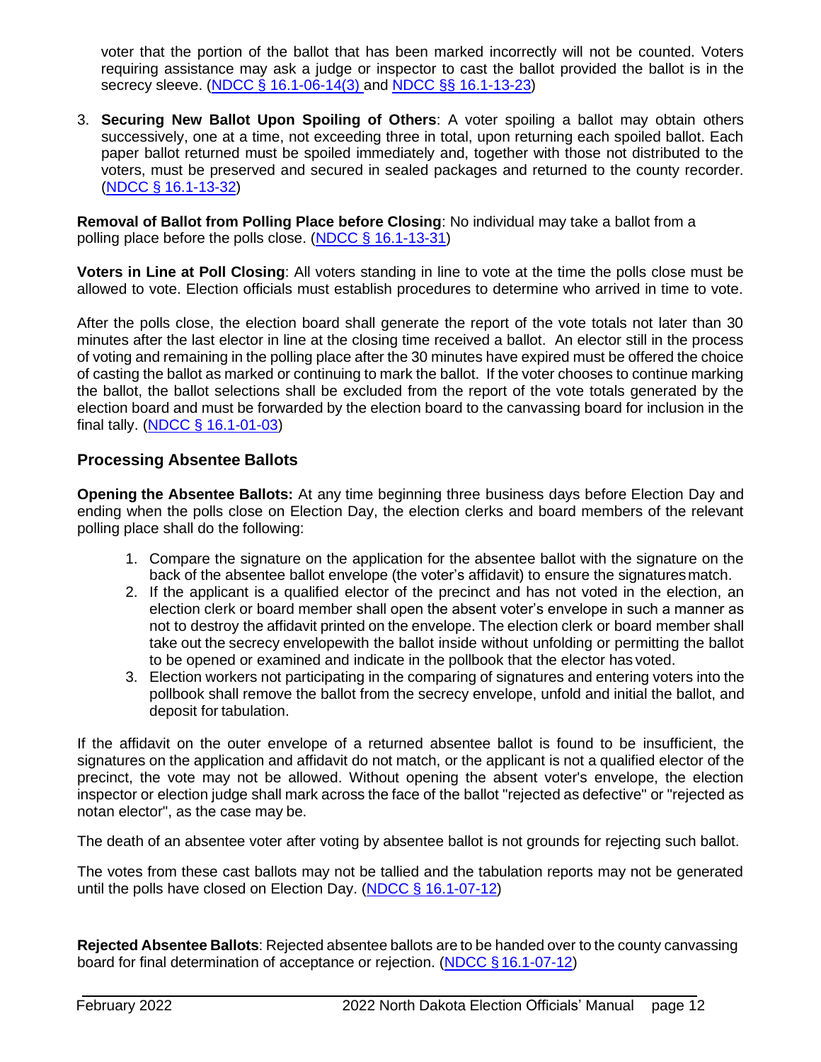voter that the portion of the ballot that has been marked incorrectly will not be counted. Voters requiring assistance may ask a judge or inspector to cast the ballot provided the ballot is in the secrecy sleeve. (NDCC [§ 16.1-06-14\(3\)](https://www.legis.nd.gov/cencode/t16-1c06.pdf#nameddest%3D16p1-06-14) and [NDCC §§ 16.1-13-23\)](https://www.legis.nd.gov/cencode/t16-1c13.pdf#nameddest%3D16p1-13-23)

3. **Securing New Ballot Upon Spoiling of Others**: A voter spoiling a ballot may obtain others successively, one at a time, not exceeding three in total, upon returning each spoiled ballot. Each paper ballot returned must be spoiled immediately and, together with those not distributed to the voters, must be preserved and secured in sealed packages and returned to the county recorder. (NDCC § [16.1-13-32\)](https://www.legis.nd.gov/cencode/t16-1c13.pdf#nameddest%3D16p1-13-32)

**Removal of Ballot from Polling Place before Closing**: No individual may take a ballot from a polling place before the polls close. [\(NDCC § 16.1-13-31\)](https://www.legis.nd.gov/cencode/t16-1c13.pdf#nameddest%3D16p1-13-31)

**Voters in Line at Poll Closing**: All voters standing in line to vote at the time the polls close must be allowed to vote. Election officials must establish procedures to determine who arrived in time to vote.

After the polls close, the election board shall generate the report of the vote totals not later than 30 minutes after the last elector in line at the closing time received a ballot. An elector still in the process of voting and remaining in the polling place after the 30 minutes have expired must be offered the choice of casting the ballot as marked or continuing to mark the ballot. If the voter chooses to continue marking the ballot, the ballot selections shall be excluded from the report of the vote totals generated by the election board and must be forwarded by the election board to the canvassing board for inclusion in the final tally. (NDCC [§ 16.1-01-03\)](https://www.legis.nd.gov/cencode/t16-1c01.pdf#nameddest%3D16p1-01-03)

## <span id="page-12-0"></span>**Processing Absentee Ballots**

**Opening the Absentee Ballots:** At any time beginning three business days before Election Day and ending when the polls close on Election Day, the election clerks and board members of the relevant polling place shall do the following:

- 1. Compare the signature on the application for the absentee ballot with the signature on the back of the absentee ballot envelope (the voter's affidavit) to ensure the signaturesmatch.
- 2. If the applicant is a qualified elector of the precinct and has not voted in the election, an election clerk or board member shall open the absent voter's envelope in such a manner as not to destroy the affidavit printed on the envelope. The election clerk or board member shall take out the secrecy envelopewith the ballot inside without unfolding or permitting the ballot to be opened or examined and indicate in the pollbook that the elector has voted.
- 3. Election workers not participating in the comparing of signatures and entering voters into the pollbook shall remove the ballot from the secrecy envelope, unfold and initial the ballot, and deposit for tabulation.

If the affidavit on the outer envelope of a returned absentee ballot is found to be insufficient, the signatures on the application and affidavit do not match, or the applicant is not a qualified elector of the precinct, the vote may not be allowed. Without opening the absent voter's envelope, the election inspector or election judge shall mark across the face of the ballot "rejected as defective" or "rejected as notan elector", as the case may be.

The death of an absentee voter after voting by absentee ballot is not grounds for rejecting such ballot.

The votes from these cast ballots may not be tallied and the tabulation reports may not be generated until the polls have closed on Election Day. [\(NDCC § 16.1-07-12\)](https://www.legis.nd.gov/cencode/t16-1c07.pdf#nameddest%3D16p1-07-12)

**Rejected Absentee Ballots**: Rejected absentee ballots are to be handed over to the county canvassing board for final determination of acceptance or rejection. (NDCC § [16.1-07-12\)](https://www.legis.nd.gov/cencode/t16-1c07.pdf#nameddest%3D16p1-07-12)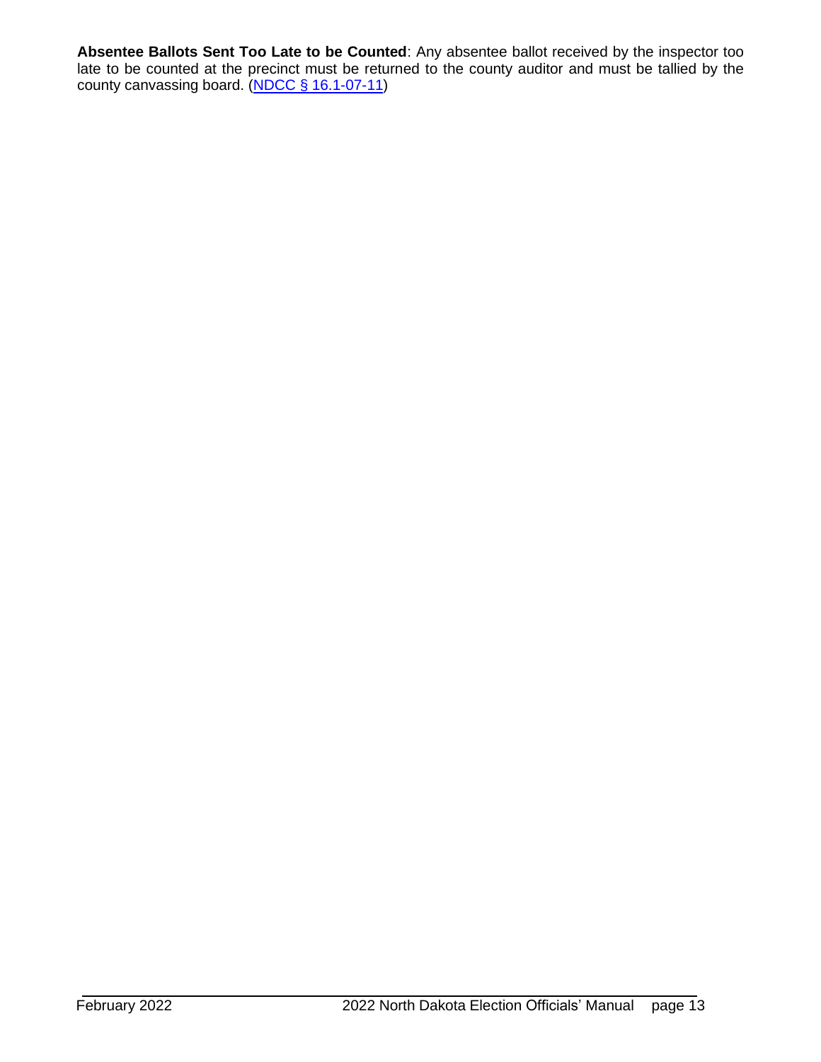**Absentee Ballots Sent Too Late to be Counted**: Any absentee ballot received by the inspector too late to be counted at the precinct must be returned to the county auditor and must be tallied by the county canvassing board. (NDCC § [16.1-07-11\)](https://www.legis.nd.gov/cencode/t16-1c07.pdf#nameddest%3D16p1-07-11)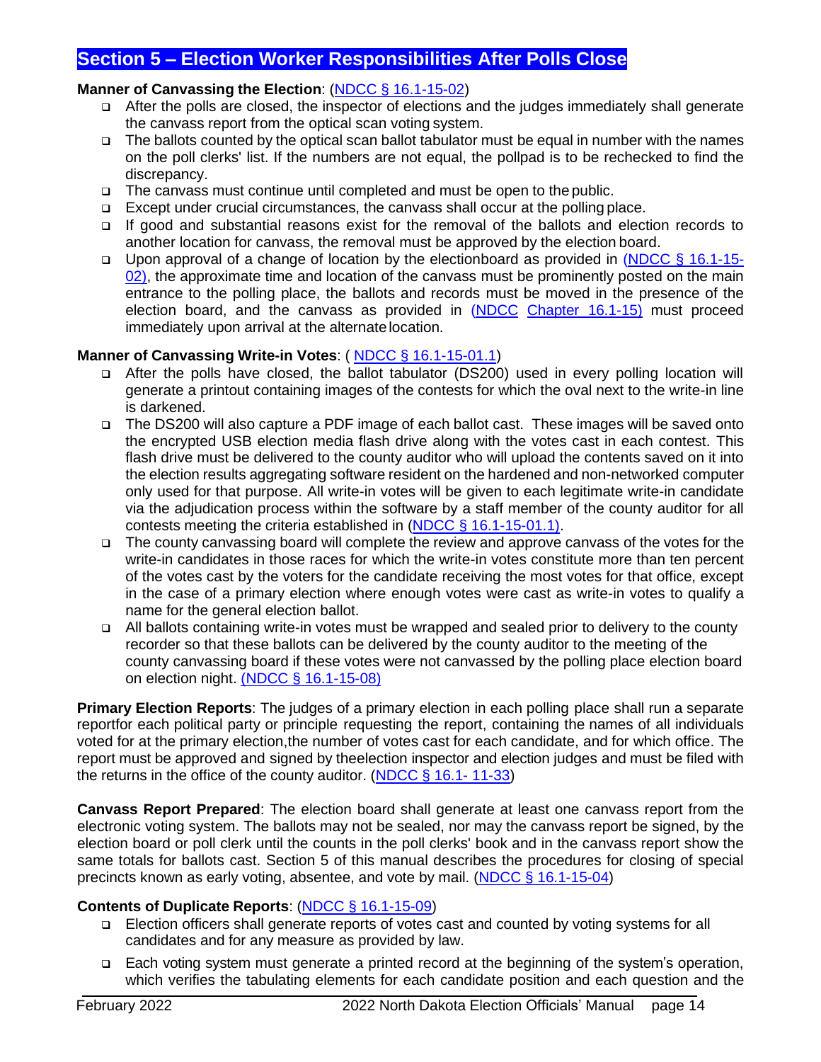## <span id="page-14-0"></span>**Section 5 – Election Worker Responsibilities After Polls Close**

## **Manner of Canvassing the Election**: (NDCC § [16.1-15-02\)](https://www.legis.nd.gov/cencode/t16-1c15.pdf#nameddest%3D16p1-15-02)

- ❑ After the polls are closed, the inspector of elections and the judges immediately shall generate the canvass report from the optical scan voting system.
- ❑ The ballots counted by the optical scan ballot tabulator must be equal in number with the names on the poll clerks' list. If the numbers are not equal, the pollpad is to be rechecked to find the discrepancy.
- ❑ The canvass must continue until completed and must be open to the public.
- ❑ Except under crucial circumstances, the canvass shall occur at the polling place.
- ❑ If good and substantial reasons exist for the removal of the ballots and election records to another location for canvass, the removal must be approved by the election board.
- ❑ Upon approval of a change of location by the electionboard as provided in [\(NDCC § 16.1-15-](https://www.legis.nd.gov/cencode/t16-1c15.pdf#nameddest%3D16p1-15-02) [02\)](https://www.legis.nd.gov/cencode/t16-1c15.pdf#nameddest%3D16p1-15-02), the approximate time and location of the canvass must be prominently posted on the main entrance to the polling place, the ballots and records must be moved in the presence of the election board, and the canvass as provided in [\(NDCC](https://www.legis.nd.gov/cencode/t16-1c15.pdf) Chapter [16.1-15\)](https://www.legis.nd.gov/cencode/t16-1c15.pdf) must proceed immediately upon arrival at the alternatelocation.

#### **Manner of Canvassing Write-in Votes**: ( NDCC § [16.1-15-01.1\)](https://www.legis.nd.gov/cencode/t16-1c15.pdf#nameddest%3D16p1-15-01p1)

- ❑ After the polls have closed, the ballot tabulator (DS200) used in every polling location will generate a printout containing images of the contests for which the oval next to the write-in line is darkened.
- ❑ The DS200 will also capture a PDF image of each ballot cast. These images will be saved onto the encrypted USB election media flash drive along with the votes cast in each contest. This flash drive must be delivered to the county auditor who will upload the contents saved on it into the election results aggregating software resident on the hardened and non-networked computer only used for that purpose. All write-in votes will be given to each legitimate write-in candidate via the adjudication process within the software by a staff member of the county auditor for all contests meeting the criteria established in (NDCC [§ 16.1-15-01.1\)](https://www.legis.nd.gov/cencode/t16-1c15.pdf#nameddest=16p1-15-01p1).
- ❑ The county canvassing board will complete the review and approve canvass of the votes for the write-in candidates in those races for which the write-in votes constitute more than ten percent of the votes cast by the voters for the candidate receiving the most votes for that office, except in the case of a primary election where enough votes were cast as write-in votes to qualify a name for the general election ballot.
- ❑ All ballots containing write-in votes must be wrapped and sealed prior to delivery to the county recorder so that these ballots can be delivered by the county auditor to the meeting of the county canvassing board if these votes were not canvassed by the polling place election board on election night. [\(NDCC § 16.1-15-08\)](https://www.legis.nd.gov/cencode/t16-1c15.pdf#nameddest=16p1-15-08)

**Primary Election Reports**: The judges of a primary election in each polling place shall run a separate reportfor each political party or principle requesting the report, containing the names of all individuals voted for at the primary election,the number of votes cast for each candidate, and for which office. The report must be approved and signed by theelection inspector and election judges and must be filed with the returns in the office of the county auditor. [\(NDCC](https://www.legis.nd.gov/cencode/t16-1c11.pdf#nameddest%3D16p1-11-33) § 16.1- [11-33\)](http://www.legis.nd.gov/cencode/t16-1c11.pdf#nameddest%3D16p1-11-33)

**Canvass Report Prepared**: The election board shall generate at least one canvass report from the electronic voting system. The ballots may not be sealed, nor may the canvass report be signed, by the election board or poll clerk until the counts in the poll clerks' book and in the canvass report show the same totals for ballots cast. Section 5 of this manual describes the procedures for closing of special precincts known as early voting, absentee, and vote by mail. (NDCC § [16.1-15-04\)](https://www.legis.nd.gov/cencode/t16-1c15.pdf#nameddest%3D16p1-15-04)

#### **Contents of Duplicate Reports**: (NDCC § [16.1-15-09\)](https://www.legis.nd.gov/cencode/t16-1c15.pdf#nameddest%3D16p1-15-09)

- ❑ Election officers shall generate reports of votes cast and counted by voting systems for all candidates and for any measure as provided by law.
- ❑ Each voting system must generate a printed record at the beginning of the system's operation, which verifies the tabulating elements for each candidate position and each question and the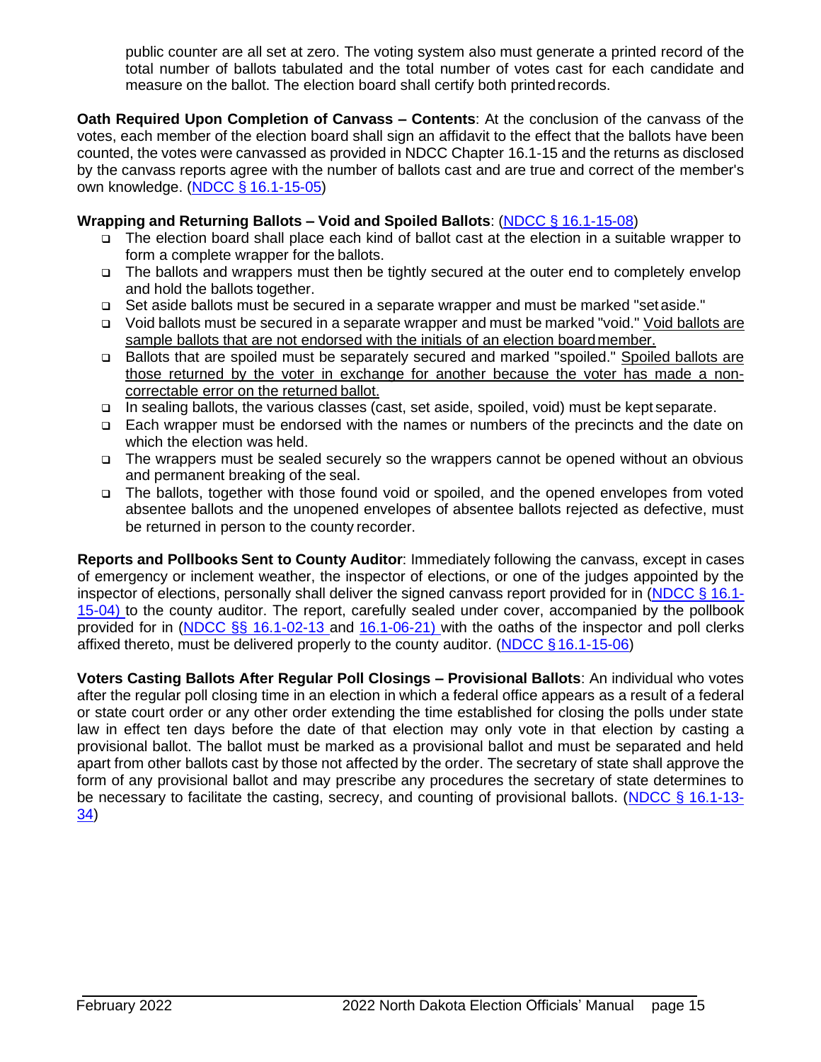public counter are all set at zero. The voting system also must generate a printed record of the total number of ballots tabulated and the total number of votes cast for each candidate and measure on the ballot. The election board shall certify both printedrecords.

**Oath Required Upon Completion of Canvass – Contents**: At the conclusion of the canvass of the votes, each member of the election board shall sign an affidavit to the effect that the ballots have been counted, the votes were canvassed as provided in NDCC Chapter 16.1-15 and the returns as disclosed by the canvass reports agree with the number of ballots cast and are true and correct of the member's own knowledge. (NDCC § [16.1-15-05\)](https://www.legis.nd.gov/cencode/t16-1c15.pdf#nameddest%3D16p1-15-05)

#### **Wrapping and Returning Ballots – Void and Spoiled Ballots**: (NDCC § [16.1-15-08\)](https://www.legis.nd.gov/cencode/t16-1c15.pdf#nameddest%3D16p1-15-08)

- ❑ The election board shall place each kind of ballot cast at the election in a suitable wrapper to form a complete wrapper for the ballots.
- ❑ The ballots and wrappers must then be tightly secured at the outer end to completely envelop and hold the ballots together.
- ❑ Set aside ballots must be secured in a separate wrapper and must be marked "setaside."
- ❑ Void ballots must be secured in a separate wrapper and must be marked "void." Void ballots are sample ballots that are not endorsed with the initials of an election boardmember.
- ❑ Ballots that are spoiled must be separately secured and marked "spoiled." Spoiled ballots are those returned by the voter in exchange for another because the voter has made a noncorrectable error on the returned ballot.
- ❑ In sealing ballots, the various classes (cast, set aside, spoiled, void) must be kept separate.
- ❑ Each wrapper must be endorsed with the names or numbers of the precincts and the date on which the election was held.
- ❑ The wrappers must be sealed securely so the wrappers cannot be opened without an obvious and permanent breaking of the seal.
- ❑ The ballots, together with those found void or spoiled, and the opened envelopes from voted absentee ballots and the unopened envelopes of absentee ballots rejected as defective, must be returned in person to the county recorder.

**Reports and Pollbooks Sent to County Auditor**: Immediately following the canvass, except in cases of emergency or inclement weather, the inspector of elections, or one of the judges appointed by the inspector of elections, personally shall deliver the signed canvass report provided for in [\(NDCC § 16.1-](http://www.legis.nd.gov/cencode/t16-1c15.pdf#nameddest%3D16p1-15-04) [15-04\)](http://www.legis.nd.gov/cencode/t16-1c15.pdf#nameddest%3D16p1-15-04) to the county auditor. The report, carefully sealed under cover, accompanied by the pollbook provided for in [\(NDCC §§ 16.1-02-13 a](http://www.legis.nd.gov/cencode/t16-1c02.pdf#nameddest%3D16p1-02-13)nd [16.1-06-21\)](http://www.legis.nd.gov/cencode/t16-1c06.pdf#nameddest%3D16p1-06-21) with the oaths of the inspector and poll clerks affixed thereto, must be delivered properly to the county auditor. [\(NDCC §16.1-15-06\)](http://www.legis.nd.gov/cencode/t16-1c15.pdf#nameddest%3D16p1-15-06)

**Voters Casting Ballots After Regular Poll Closings – Provisional Ballots**: An individual who votes after the regular poll closing time in an election in which a federal office appears as a result of a federal or state court order or any other order extending the time established for closing the polls under state law in effect ten days before the date of that election may only vote in that election by casting a provisional ballot. The ballot must be marked as a provisional ballot and must be separated and held apart from other ballots cast by those not affected by the order. The secretary of state shall approve the form of any provisional ballot and may prescribe any procedures the secretary of state determines to be necessary to facilitate the casting, secrecy, and counting of provisional ballots. [\(NDCC § 16.1-13-](https://www.legis.nd.gov/cencode/t16-1c13.pdf#nameddest%3D16p1-13-34) [34\)](http://www.legis.nd.gov/cencode/t16-1c13.pdf#nameddest%3D16p1-13-34)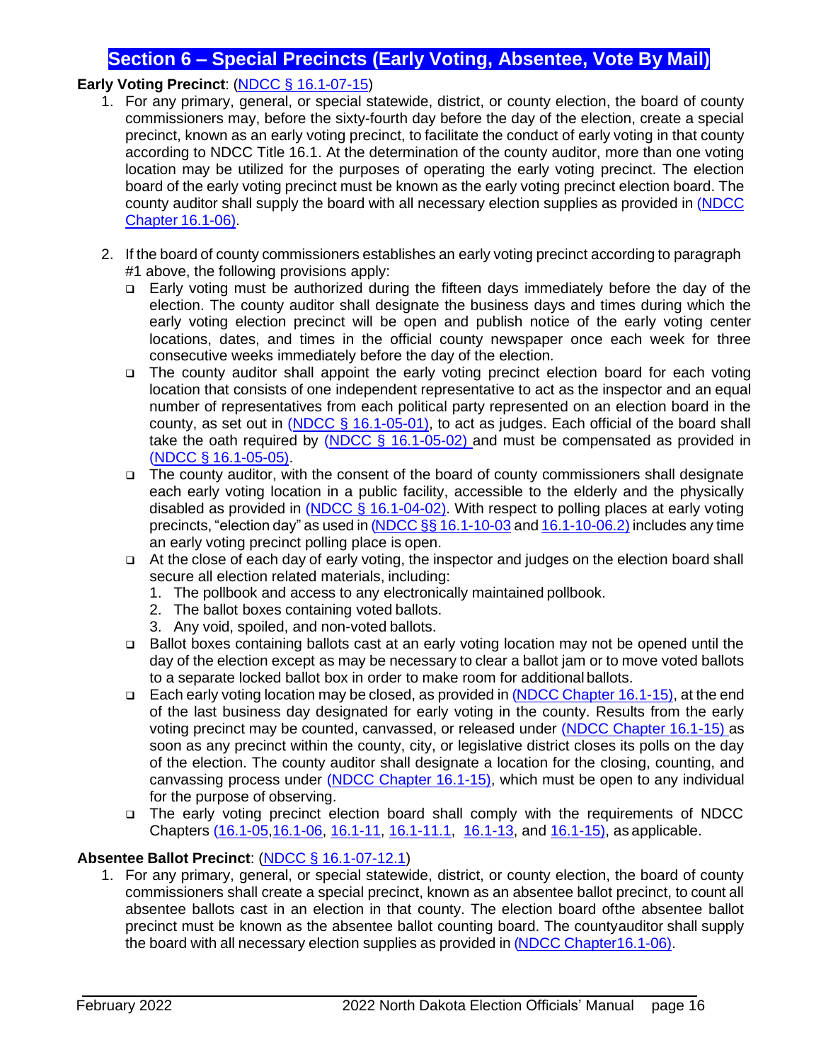## **Section 6 – Special Precincts (Early Voting, Absentee, Vote By Mail)**

## <span id="page-16-0"></span>**Early Voting Precinct**: (NDCC § [16.1-07-15\)](https://www.legis.nd.gov/cencode/t16-1c07.pdf#nameddest%3D16p1-07-15)

- 1. For any primary, general, or special statewide, district, or county election, the board of county commissioners may, before the sixty-fourth day before the day of the election, create a special precinct, known as an early voting precinct, to facilitate the conduct of early voting in that county according to NDCC Title 16.1. At the determination of the county auditor, more than one voting location may be utilized for the purposes of operating the early voting precinct. The election board of the early voting precinct must be known as the early voting precinct election board. The county auditor shall supply the board with all necessary election supplies as provided in [\(NDCC](http://www.legis.nd.gov/cencode/t16-1c06.pdf)  [Chapter](http://www.legis.nd.gov/cencode/t16-1c06.pdf) 16.1-06).
- 2. If the board of county commissioners establishes an early voting precinct according to paragraph #1 above, the following provisions apply:
	- ❑ Early voting must be authorized during the fifteen days immediately before the day of the election. The county auditor shall designate the business days and times during which the early voting election precinct will be open and publish notice of the early voting center locations, dates, and times in the official county newspaper once each week for three consecutive weeks immediately before the day of the election.
	- ❑ The county auditor shall appoint the early voting precinct election board for each voting location that consists of one independent representative to act as the inspector and an equal number of representatives from each political party represented on an election board in the county, as set out in (NDCC  $\S$  16.1-05-01), to act as judges. Each official of the board shall take the oath required by  $(NDCC \S 16.1-05-02)$  and must be compensated as provided in (NDCC § [16.1-05-05\).](https://www.legis.nd.gov/cencode/t16-1c05.pdf#nameddest%3D16p1-05-05)
	- ❑ The county auditor, with the consent of the board of county commissioners shall designate each early voting location in a public facility, accessible to the elderly and the physically disabled as provided in [\(NDCC § 16.1-04-02\)](https://www.legis.nd.gov/cencode/t16-1c04.pdf#nameddest%3D16p1-04-02). With respect to polling places at early voting precincts, "election day" as used in (NDCC §§ [16.1-10-03](https://www.legis.nd.gov/cencode/t16-1c10.pdf#nameddest%3D16p1-10-03) and [16.1-10-06.2\)](https://www.legis.nd.gov/cencode/t16-1c10.pdf#nameddest%3D16p1-10-06p2) includes any time an early voting precinct polling place is open.
	- ❑ At the close of each day of early voting, the inspector and judges on the election board shall secure all election related materials, including:
		- 1. The pollbook and access to any electronically maintained pollbook.
		- 2. The ballot boxes containing voted ballots.
		- 3. Any void, spoiled, and non-voted ballots.
	- ❑ Ballot boxes containing ballots cast at an early voting location may not be opened until the day of the election except as may be necessary to clear a ballot jam or to move voted ballots to a separate locked ballot box in order to make room for additional ballots.
	- □ Each early voting location may be closed, as provided in (NDCC Chapter [16.1-15\)](http://www.legis.nd.gov/cencode/t16-1c15.pdf), at the end of the last business day designated for early voting in the county. Results from the early voting precinct may be counted, canvassed, or released under [\(NDCC Chapter 16.1-15\)](http://www.legis.nd.gov/cencode/t16-1c15.pdf) as soon as any precinct within the county, city, or legislative district closes its polls on the day of the election. The county auditor shall designate a location for the closing, counting, and canvassing process under [\(NDCC Chapter 16.1-15\)](http://www.legis.nd.gov/cencode/t16-1c15.pdf), which must be open to any individual for the purpose of observing.
	- ❑ The early voting precinct election board shall comply with the requirements of NDCC Chapters [\(16.1-05](http://www.legis.nd.gov/cencode/t16-1c05.pdf)[,16.1-06,](https://www.legis.nd.gov/cencode/t16-1.html) [16.1-11,](https://www.legis.nd.gov/cencode/t16-1c11.pdf) [16.1-11.1,](https://www.legis.nd.gov/cencode/t16-1c11-1.pdf) [16.1-13,](http://www.legis.nd.gov/cencode/t16-1c13.pdf) and [16.1-15\)](http://www.legis.nd.gov/cencode/t16-1c15.pdf), as applicable.

## **Absentee Ballot Precinct**: (NDCC § [16.1-07-12.1\)](https://www.legis.nd.gov/cencode/t16-1c07.pdf#nameddest%3D16p1-07-12p1)

1. For any primary, general, or special statewide, district, or county election, the board of county commissioners shall create a special precinct, known as an absentee ballot precinct, to count all absentee ballots cast in an election in that county. The election board ofthe absentee ballot precinct must be known as the absentee ballot counting board. The countyauditor shall supply the board with all necessary election supplies as provided in (NDCC [Chapter16.1-06\).](http://www.legis.nd.gov/cencode/t16-1c06.pdf)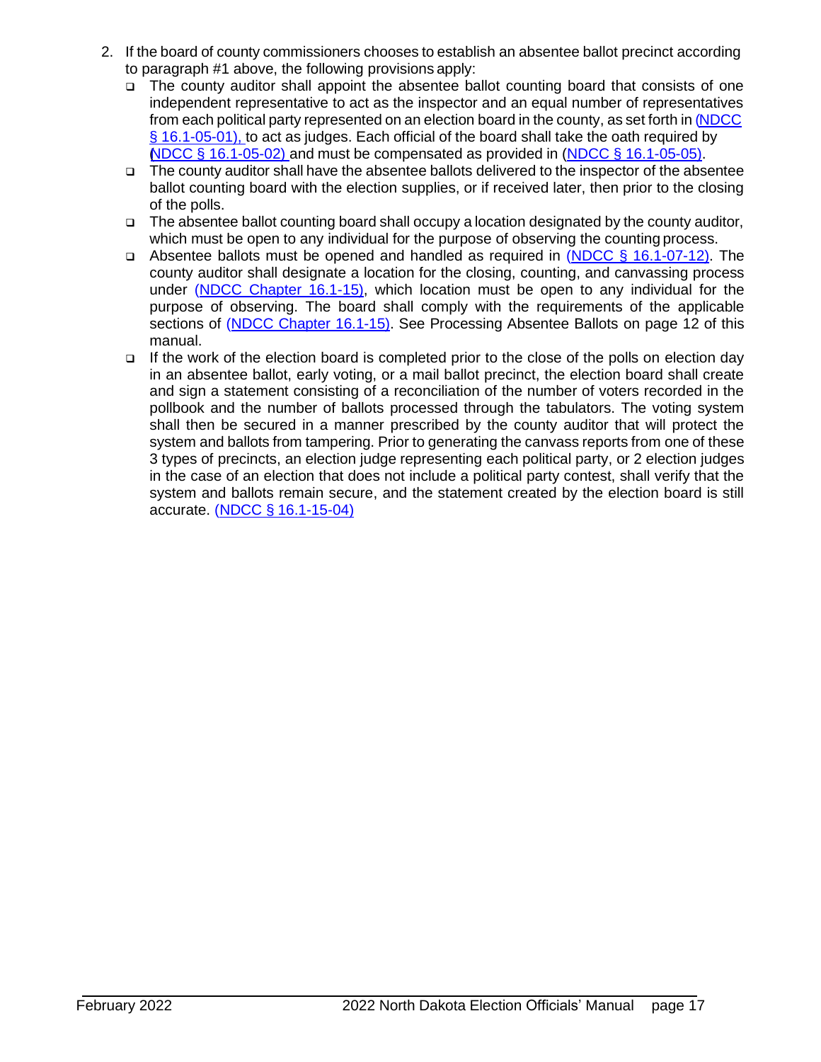- 2. If the board of county commissioners chooses to establish an absentee ballot precinct according to paragraph #1 above, the following provisions apply:
	- ❑ The county auditor shall appoint the absentee ballot counting board that consists of one independent representative to act as the inspector and an equal number of representatives from each political party represented on an election board in the county, as set forth in [\(NDCC](http://www.legis.nd.gov/cencode/t16-1c05.pdf#nameddest%3D16p1-05-01) [§ 16.1-05-01\), t](https://www.legis.nd.gov/cencode/t16-1c05.pdf#nameddest%3D16p1-05-01)o act as judges. Each official of the board shall take the oath required by (NDCC § [16.1-05-02\)](https://www.legis.nd.gov/cencode/t16-1c05.pdf#nameddest%3D16p1-05-02) and must be compensated as provided in (NDCC § [16.1-05-05\).](https://www.legis.nd.gov/cencode/t16-1c05.pdf#nameddest%3D16p1-05-05)
	- ❑ The county auditor shall have the absentee ballots delivered to the inspector of the absentee ballot counting board with the election supplies, or if received later, then prior to the closing of the polls.
	- ❑ The absentee ballot counting board shall occupy a location designated by the county auditor, which must be open to any individual for the purpose of observing the counting process.
	- ❑ Absentee ballots must be opened and handled as required in [\(NDCC § 16.1-07-12\)](http://www.legis.nd.gov/cencode/t16-1c07.pdf#nameddest%3D16p1-07-12). The county auditor shall designate a location for the closing, counting, and canvassing process under [\(NDCC Chapter 16.1-15\)](http://www.legis.nd.gov/cencode/t16-1c15.pdf), which location must be open to any individual for the purpose of observing. The board shall comply with the requirements of the applicable sections of (NDCC [Chapter](https://www.legis.nd.gov/cencode/t16-1c15.pdf) 16.1-15). See Processing Absentee Ballots on page 12 of this manual.
	- ❑ If the work of the election board is completed prior to the close of the polls on election day in an absentee ballot, early voting, or a mail ballot precinct, the election board shall create and sign a statement consisting of a reconciliation of the number of voters recorded in the pollbook and the number of ballots processed through the tabulators. The voting system shall then be secured in a manner prescribed by the county auditor that will protect the system and ballots from tampering. Prior to generating the canvass reports from one of these 3 types of precincts, an election judge representing each political party, or 2 election judges in the case of an election that does not include a political party contest, shall verify that the system and ballots remain secure, and the statement created by the election board is still accurate. (NDCC § [16.1-15-04\)](https://www.legis.nd.gov/cencode/t16-1c15.pdf#nameddest%3D16p1-15-04)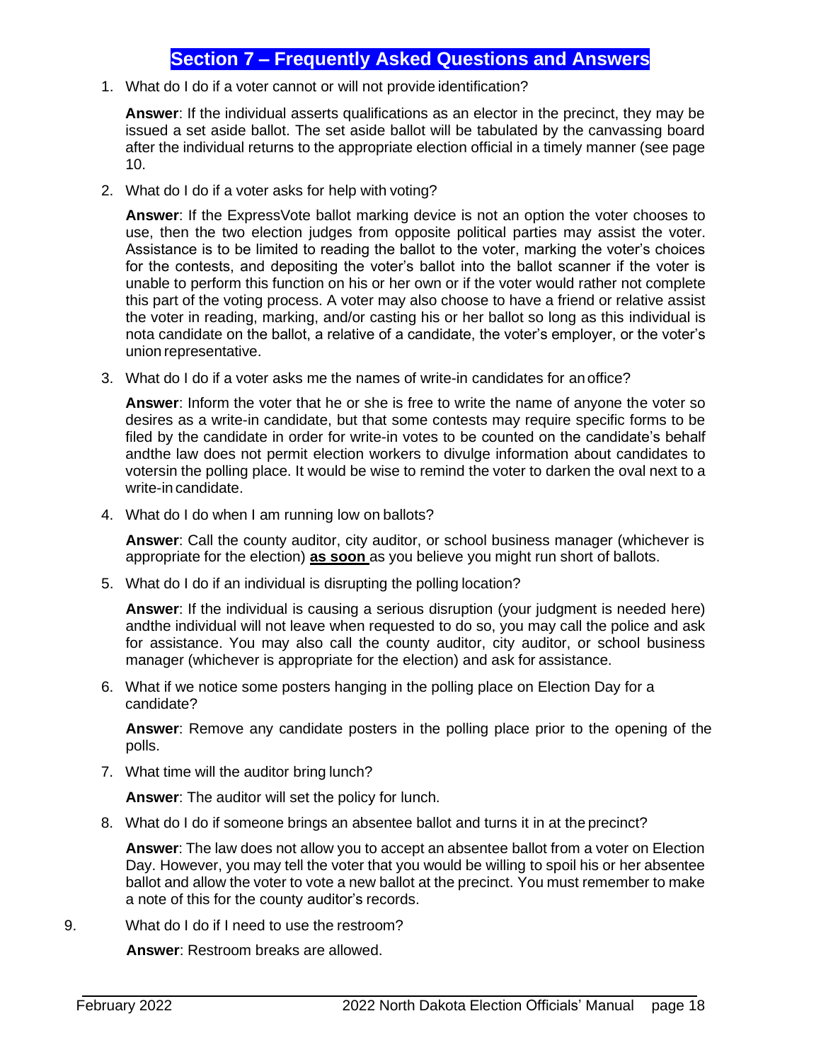## **Section 7 – Frequently Asked Questions and Answers**

<span id="page-18-0"></span>1. What do I do if a voter cannot or will not provide identification?

**Answer**: If the individual asserts qualifications as an elector in the precinct, they may be issued a set aside ballot. The set aside ballot will be tabulated by the canvassing board after the individual returns to the appropriate election official in a timely manner (see page 10.

2. What do I do if a voter asks for help with voting?

**Answer**: If the ExpressVote ballot marking device is not an option the voter chooses to use, then the two election judges from opposite political parties may assist the voter. Assistance is to be limited to reading the ballot to the voter, marking the voter's choices for the contests, and depositing the voter's ballot into the ballot scanner if the voter is unable to perform this function on his or her own or if the voter would rather not complete this part of the voting process. A voter may also choose to have a friend or relative assist the voter in reading, marking, and/or casting his or her ballot so long as this individual is nota candidate on the ballot, a relative of a candidate, the voter's employer, or the voter's union representative.

3. What do I do if a voter asks me the names of write-in candidates for an office?

**Answer**: Inform the voter that he or she is free to write the name of anyone the voter so desires as a write-in candidate, but that some contests may require specific forms to be filed by the candidate in order for write-in votes to be counted on the candidate's behalf andthe law does not permit election workers to divulge information about candidates to votersin the polling place. It would be wise to remind the voter to darken the oval next to a write-in candidate.

4. What do I do when I am running low on ballots?

**Answer**: Call the county auditor, city auditor, or school business manager (whichever is appropriate for the election) **as soon** as you believe you might run short of ballots.

5. What do I do if an individual is disrupting the polling location?

**Answer**: If the individual is causing a serious disruption (your judgment is needed here) andthe individual will not leave when requested to do so, you may call the police and ask for assistance. You may also call the county auditor, city auditor, or school business manager (whichever is appropriate for the election) and ask for assistance.

6. What if we notice some posters hanging in the polling place on Election Day for a candidate?

**Answer**: Remove any candidate posters in the polling place prior to the opening of the polls.

7. What time will the auditor bring lunch?

**Answer**: The auditor will set the policy for lunch.

8. What do I do if someone brings an absentee ballot and turns it in at the precinct?

**Answer**: The law does not allow you to accept an absentee ballot from a voter on Election Day. However, you may tell the voter that you would be willing to spoil his or her absentee ballot and allow the voter to vote a new ballot at the precinct. You must remember to make a note of this for the county auditor's records.

<span id="page-18-1"></span>9. What do I do if I need to use the restroom?

**Answer**: Restroom breaks are allowed.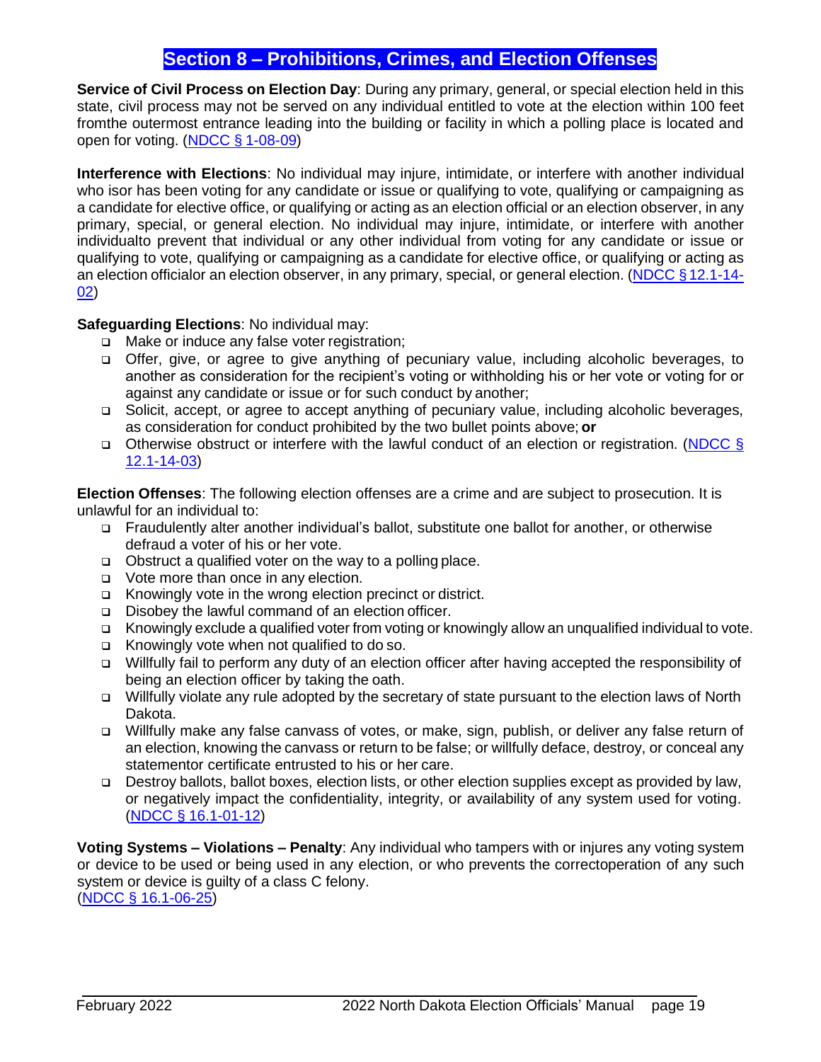## **Section 8 – Prohibitions, Crimes, and Election Offenses**

**Service of Civil Process on Election Day**: During any primary, general, or special election held in this state, civil process may not be served on any individual entitled to vote at the election within 100 feet fromthe outermost entrance leading into the building or facility in which a polling place is located and open for voting. [\(NDCC §](https://www.legis.nd.gov/cencode/t01c08.pdf#nameddest%3D1-08-09) 1-08-09)

**Interference with Elections**: No individual may injure, intimidate, or interfere with another individual who isor has been voting for any candidate or issue or qualifying to vote, qualifying or campaigning as a candidate for elective office, or qualifying or acting as an election official or an election observer, in any primary, special, or general election. No individual may injure, intimidate, or interfere with another individualto prevent that individual or any other individual from voting for any candidate or issue or qualifying to vote, qualifying or campaigning as a candidate for elective office, or qualifying or acting as an election officialor an election observer, in any primary, special, or general election. [\(NDCC §12.1-14-](https://www.legis.nd.gov/cencode/t12-1c14.pdf#nameddest%3D12p1-14-02) [02\)](https://www.legis.nd.gov/cencode/t12-1c14.pdf#nameddest%3D12p1-14-02)

**Safeguarding Elections**: No individual may:

- ❑ Make or induce any false voter registration;
- ❑ Offer, give, or agree to give anything of pecuniary value, including alcoholic beverages, to another as consideration for the recipient's voting or withholding his or her vote or voting for or against any candidate or issue or for such conduct by another;
- ❑ Solicit, accept, or agree to accept anything of pecuniary value, including alcoholic beverages, as consideration for conduct prohibited by the two bullet points above; **or**
- ❑ Otherwise obstruct or interfere with the lawful conduct of an election or registration. [\(NDCC §](http://www.legis.nd.gov/cencode/t12-1c14.pdf#nameddest%3D12p1-14-03) [12.1-14-03\)](https://www.legis.nd.gov/cencode/t12-1c14.pdf#nameddest%3D12p1-14-03)

**Election Offenses**: The following election offenses are a crime and are subject to prosecution. It is unlawful for an individual to:

- ❑ Fraudulently alter another individual's ballot, substitute one ballot for another, or otherwise defraud a voter of his or her vote.
- ❑ Obstruct a qualified voter on the way to a polling place.
- ❑ Vote more than once in any election.
- ❑ Knowingly vote in the wrong election precinct or district.
- ❑ Disobey the lawful command of an election officer.
- ❑ Knowingly exclude a qualified voter from voting or knowingly allow an unqualified individual to vote.
- ❑ Knowingly vote when not qualified to do so.
- ❑ Willfully fail to perform any duty of an election officer after having accepted the responsibility of being an election officer by taking the oath.
- ❑ Willfully violate any rule adopted by the secretary of state pursuant to the election laws of North Dakota.
- ❑ Willfully make any false canvass of votes, or make, sign, publish, or deliver any false return of an election, knowing the canvass or return to be false; or willfully deface, destroy, or conceal any statementor certificate entrusted to his or her care.
- ❑ Destroy ballots, ballot boxes, election lists, or other election supplies except as provided by law, or negatively impact the confidentiality, integrity, or availability of any system used for voting. (NDCC § [16.1-01-12\)](https://www.legis.nd.gov/cencode/t16-1c01.pdf#nameddest%3D16p1-01-12)

**Voting Systems – Violations – Penalty**: Any individual who tampers with or injures any voting system or device to be used or being used in any election, or who prevents the correctoperation of any such system or device is guilty of a class C felony. (NDCC § [16.1-06-25\)](https://www.legis.nd.gov/cencode/t16-1c06.pdf#nameddest%3D16p1-06-25)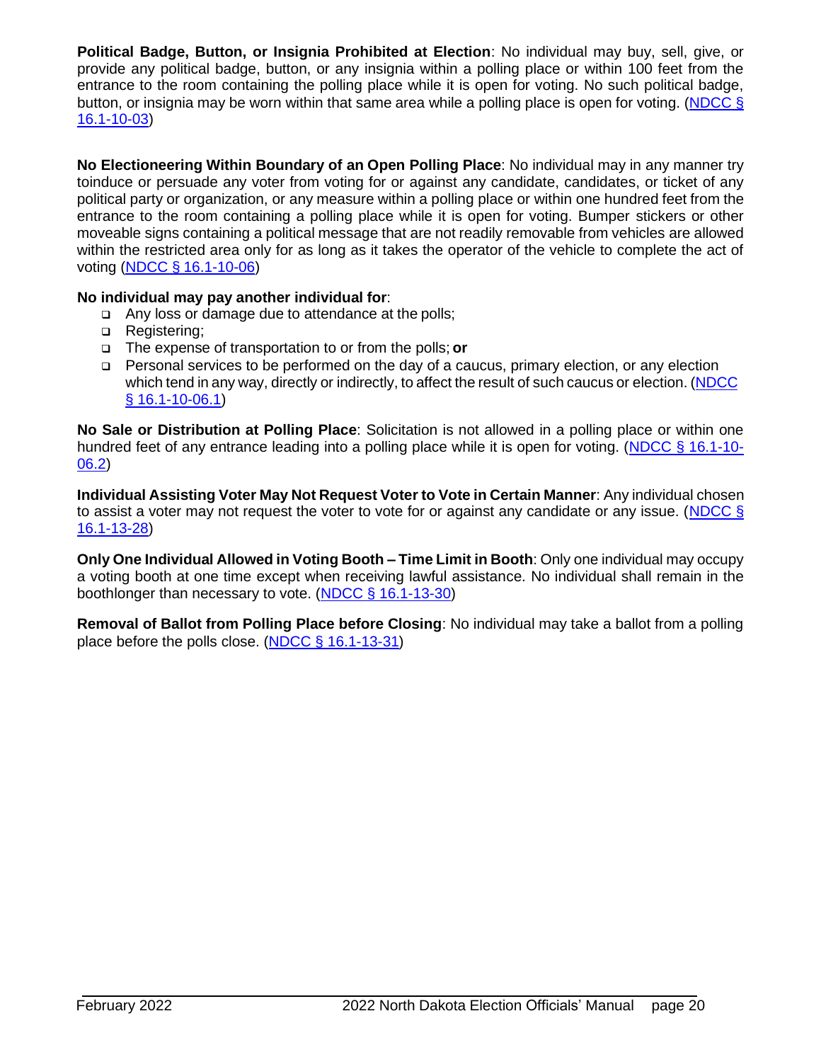**Political Badge, Button, or Insignia Prohibited at Election**: No individual may buy, sell, give, or provide any political badge, button, or any insignia within a polling place or within 100 feet from the entrance to the room containing the polling place while it is open for voting. No such political badge, button, or insignia may be worn within that same area while a polling place is open for voting. [\(NDCC](http://www.legis.nd.gov/cencode/t16-1c10.pdf#nameddest%3D16p1-10-03) § [16.1-10-03\)](https://www.legis.nd.gov/cencode/t16-1c10.pdf#nameddest%3D16p1-10-03)

**No Electioneering Within Boundary of an Open Polling Place**: No individual may in any manner try toinduce or persuade any voter from voting for or against any candidate, candidates, or ticket of any political party or organization, or any measure within a polling place or within one hundred feet from the entrance to the room containing a polling place while it is open for voting. Bumper stickers or other moveable signs containing a political message that are not readily removable from vehicles are allowed within the restricted area only for as long as it takes the operator of the vehicle to complete the act of voting (NDCC § [16.1-10-06\)](https://www.legis.nd.gov/cencode/t16-1c10.pdf#nameddest%3D16p1-10-06)

#### **No individual may pay another individual for**:

- ❑ Any loss or damage due to attendance at the polls;
- ❑ Registering;
- ❑ The expense of transportation to or from the polls; **or**
- ❑ Personal services to be performed on the day of a caucus, primary election, or any election which tend in any way, directly or indirectly, to affect the result of such caucus or election. [\(NDCC](http://www.legis.nd.gov/cencode/t16-1c10.pdf#nameddest%3D16p1-10-06p1) § [16.1-10-06.1\)](https://www.legis.nd.gov/cencode/t16-1c10.pdf#nameddest%3D16p1-10-06p1)

**No Sale or Distribution at Polling Place**: Solicitation is not allowed in a polling place or within one hundred feet of any entrance leading into a polling place while it is open for voting. [\(NDCC § 16.1-10-](https://www.legis.nd.gov/cencode/t16-1c10.pdf#nameddest%3D16p1-10-06p2) [06.2\)](http://www.legis.nd.gov/cencode/t16-1c10.pdf#nameddest%3D16p1-10-06p2)

**Individual Assisting Voter May Not Request Voter to Vote in Certain Manner**: Any individual chosen to assist a voter may not request the voter to vote for or against any candidate or any issue. [\(NDCC §](http://www.legis.nd.gov/cencode/t16-1c13.pdf#nameddest%3D16p1-13-28) [16.1-13-28\)](http://www.legis.nd.gov/cencode/t16-1c13.pdf#nameddest%3D16p1-13-28)

**Only One Individual Allowed in Voting Booth – Time Limit in Booth**: Only one individual may occupy a voting booth at one time except when receiving lawful assistance. No individual shall remain in the boothlonger than necessary to vote. (NDCC [§ 16.1-13-30\)](https://www.legis.nd.gov/cencode/t16-1c13.pdf#nameddest%3D16p1-13-30)

**Removal of Ballot from Polling Place before Closing**: No individual may take a ballot from a polling place before the polls close. [\(NDCC § 16.1-13-31\)](https://www.legis.nd.gov/cencode/t16-1c13.pdf#nameddest%3D16p1-13-31)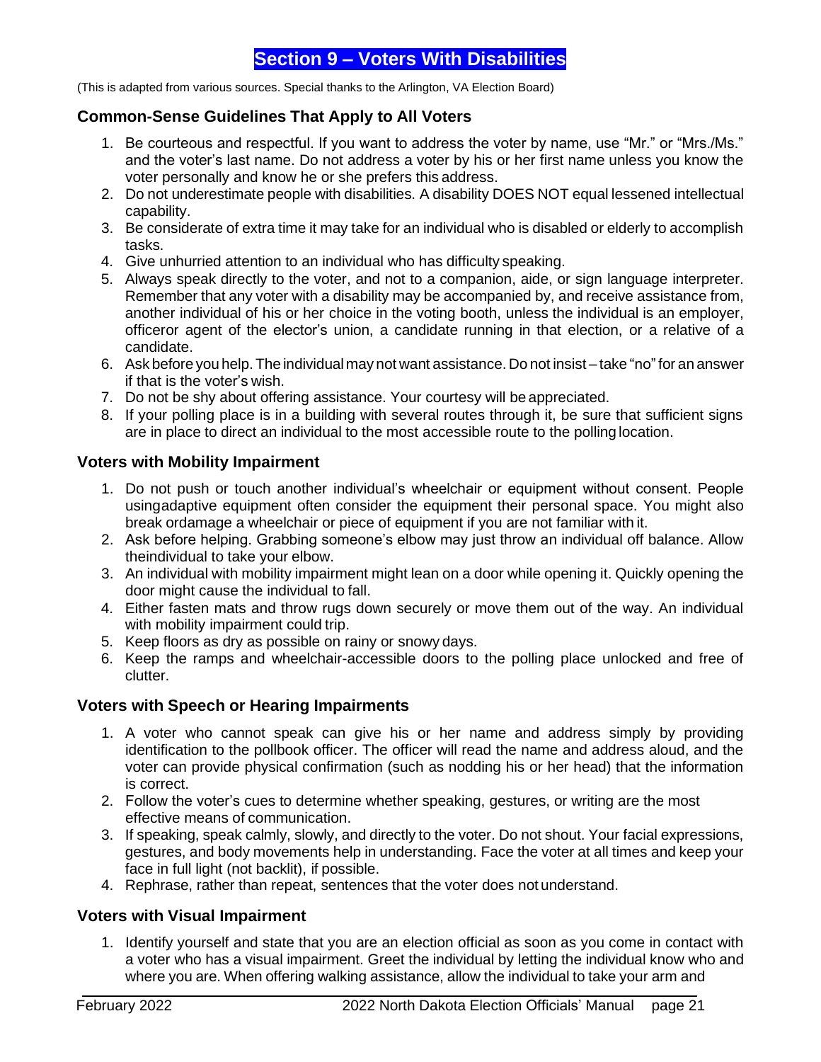## **Section 9 – Voters With Disabilities**

<span id="page-21-0"></span>(This is adapted from various sources. Special thanks to the Arlington, VA Election Board)

## <span id="page-21-1"></span>**Common-Sense Guidelines That Apply to All Voters**

- 1. Be courteous and respectful. If you want to address the voter by name, use "Mr." or "Mrs./Ms." and the voter's last name. Do not address a voter by his or her first name unless you know the voter personally and know he or she prefers this address.
- 2. Do not underestimate people with disabilities. A disability DOES NOT equal lessened intellectual capability.
- 3. Be considerate of extra time it may take for an individual who is disabled or elderly to accomplish tasks.
- 4. Give unhurried attention to an individual who has difficulty speaking.
- 5. Always speak directly to the voter, and not to a companion, aide, or sign language interpreter. Remember that any voter with a disability may be accompanied by, and receive assistance from, another individual of his or her choice in the voting booth, unless the individual is an employer, officeror agent of the elector's union, a candidate running in that election, or a relative of a candidate.
- 6. Ask before you help. The individualmay not want assistance. Do not insist take "no"for an answer if that is the voter's wish.
- 7. Do not be shy about offering assistance. Your courtesy will be appreciated.
- 8. If your polling place is in a building with several routes through it, be sure that sufficient signs are in place to direct an individual to the most accessible route to the polling location.

## <span id="page-21-2"></span>**Voters with Mobility Impairment**

- 1. Do not push or touch another individual's wheelchair or equipment without consent. People usingadaptive equipment often consider the equipment their personal space. You might also break ordamage a wheelchair or piece of equipment if you are not familiar with it.
- 2. Ask before helping. Grabbing someone's elbow may just throw an individual off balance. Allow theindividual to take your elbow.
- 3. An individual with mobility impairment might lean on a door while opening it. Quickly opening the door might cause the individual to fall.
- 4. Either fasten mats and throw rugs down securely or move them out of the way. An individual with mobility impairment could trip.
- 5. Keep floors as dry as possible on rainy or snowy days.
- 6. Keep the ramps and wheelchair-accessible doors to the polling place unlocked and free of clutter.

## <span id="page-21-3"></span>**Voters with Speech or Hearing Impairments**

- 1. A voter who cannot speak can give his or her name and address simply by providing identification to the pollbook officer. The officer will read the name and address aloud, and the voter can provide physical confirmation (such as nodding his or her head) that the information is correct.
- 2. Follow the voter's cues to determine whether speaking, gestures, or writing are the most effective means of communication.
- 3. If speaking, speak calmly, slowly, and directly to the voter. Do not shout. Your facial expressions, gestures, and body movements help in understanding. Face the voter at all times and keep your face in full light (not backlit), if possible.
- 4. Rephrase, rather than repeat, sentences that the voter does not understand.

## <span id="page-21-4"></span>**Voters with Visual Impairment**

1. Identify yourself and state that you are an election official as soon as you come in contact with a voter who has a visual impairment. Greet the individual by letting the individual know who and where you are. When offering walking assistance, allow the individual to take your arm and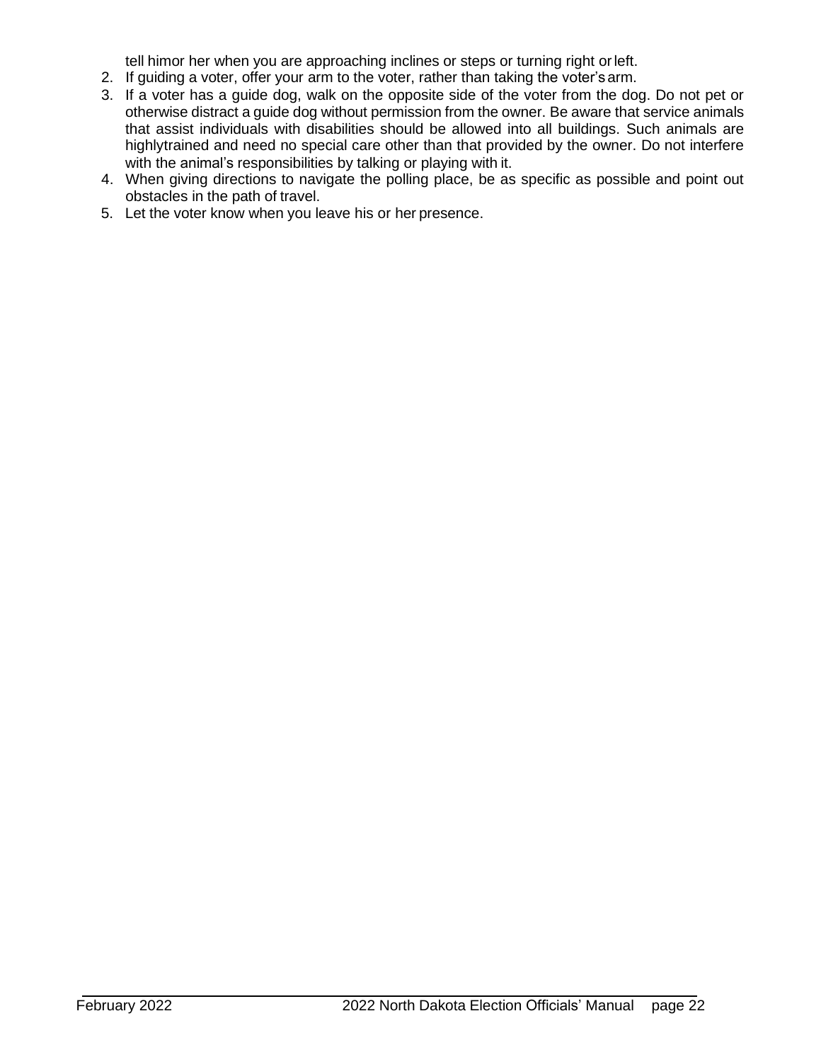tell himor her when you are approaching inclines or steps or turning right orleft.

- 2. If guiding a voter, offer your arm to the voter, rather than taking the voter'sarm.
- 3. If a voter has a guide dog, walk on the opposite side of the voter from the dog. Do not pet or otherwise distract a guide dog without permission from the owner. Be aware that service animals that assist individuals with disabilities should be allowed into all buildings. Such animals are highlytrained and need no special care other than that provided by the owner. Do not interfere with the animal's responsibilities by talking or playing with it.
- 4. When giving directions to navigate the polling place, be as specific as possible and point out obstacles in the path of travel.
- 5. Let the voter know when you leave his or her presence.